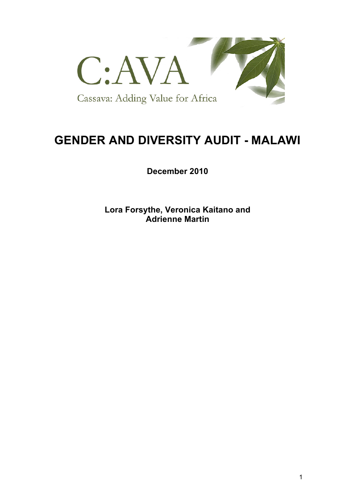

# **GENDER AND DIVERSITY AUDIT - MALAWI**

**December 2010**

**Lora Forsythe, Veronica Kaitano and Adrienne Martin**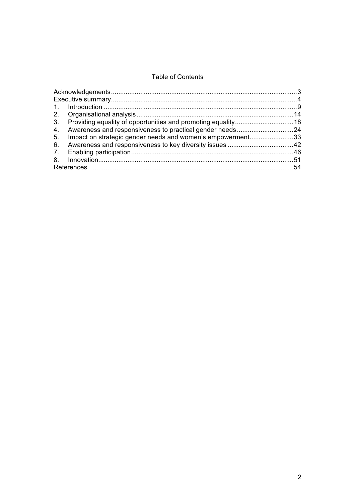### **Table of Contents**

| 5. Impact on strategic gender needs and women's empowerment33 |  |
|---------------------------------------------------------------|--|
|                                                               |  |
|                                                               |  |
|                                                               |  |
|                                                               |  |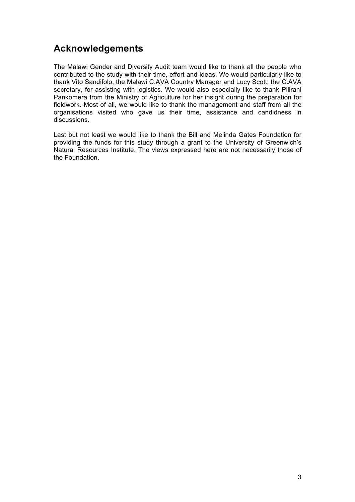## **Acknowledgements**

The Malawi Gender and Diversity Audit team would like to thank all the people who contributed to the study with their time, effort and ideas. We would particularly like to thank Vito Sandifolo, the Malawi C:AVA Country Manager and Lucy Scott, the C:AVA secretary, for assisting with logistics. We would also especially like to thank Pilirani Pankomera from the Ministry of Agriculture for her insight during the preparation for fieldwork. Most of all, we would like to thank the management and staff from all the organisations visited who gave us their time, assistance and candidness in discussions.

Last but not least we would like to thank the Bill and Melinda Gates Foundation for providing the funds for this study through a grant to the University of Greenwich's Natural Resources Institute. The views expressed here are not necessarily those of the Foundation.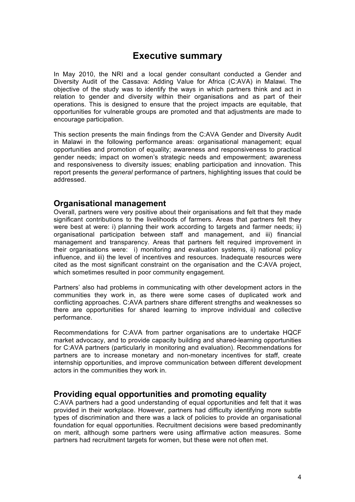## **Executive summary**

In May 2010, the NRI and a local gender consultant conducted a Gender and Diversity Audit of the Cassava: Adding Value for Africa (C:AVA) in Malawi. The objective of the study was to identify the ways in which partners think and act in relation to gender and diversity within their organisations and as part of their operations. This is designed to ensure that the project impacts are equitable, that opportunities for vulnerable groups are promoted and that adjustments are made to encourage participation.

This section presents the main findings from the C:AVA Gender and Diversity Audit in Malawi in the following performance areas: organisational management; equal opportunities and promotion of equality; awareness and responsiveness to practical gender needs; impact on women's strategic needs and empowerment; awareness and responsiveness to diversity issues; enabling participation and innovation. This report presents the *general* performance of partners, highlighting issues that could be addressed.

### **Organisational management**

Overall, partners were very positive about their organisations and felt that they made significant contributions to the livelihoods of farmers. Areas that partners felt they were best at were: i) planning their work according to targets and farmer needs; ii) organisational participation between staff and management, and iii) financial management and transparency. Areas that partners felt required improvement in their organisations were: i) monitoring and evaluation systems, ii) national policy influence, and iii) the level of incentives and resources. Inadequate resources were cited as the most significant constraint on the organisation and the C:AVA project, which sometimes resulted in poor community engagement.

Partners' also had problems in communicating with other development actors in the communities they work in, as there were some cases of duplicated work and conflicting approaches. C:AVA partners share different strengths and weaknesses so there are opportunities for shared learning to improve individual and collective performance.

Recommendations for C:AVA from partner organisations are to undertake HQCF market advocacy, and to provide capacity building and shared-learning opportunities for C:AVA partners (particularly in monitoring and evaluation). Recommendations for partners are to increase monetary and non-monetary incentives for staff, create internship opportunities, and improve communication between different development actors in the communities they work in.

### **Providing equal opportunities and promoting equality**

C:AVA partners had a good understanding of equal opportunities and felt that it was provided in their workplace. However, partners had difficulty identifying more subtle types of discrimination and there was a lack of policies to provide an organisational foundation for equal opportunities. Recruitment decisions were based predominantly on merit, although some partners were using affirmative action measures. Some partners had recruitment targets for women, but these were not often met.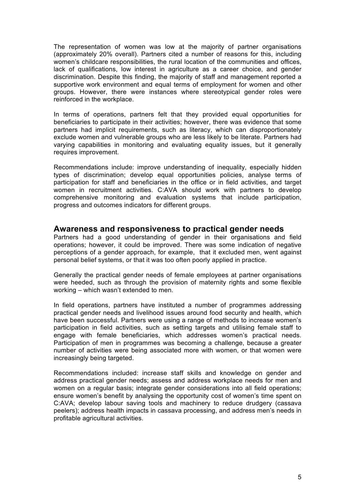The representation of women was low at the majority of partner organisations (approximately 20% overall). Partners cited a number of reasons for this, including women's childcare responsibilities, the rural location of the communities and offices, lack of qualifications, low interest in agriculture as a career choice, and gender discrimination. Despite this finding, the majority of staff and management reported a supportive work environment and equal terms of employment for women and other groups. However, there were instances where stereotypical gender roles were reinforced in the workplace.

In terms of operations, partners felt that they provided equal opportunities for beneficiaries to participate in their activities; however, there was evidence that some partners had implicit requirements, such as literacy, which can disproportionately exclude women and vulnerable groups who are less likely to be literate. Partners had varying capabilities in monitoring and evaluating equality issues, but it generally requires improvement.

Recommendations include: improve understanding of inequality, especially hidden types of discrimination; develop equal opportunities policies, analyse terms of participation for staff and beneficiaries in the office or in field activities, and target women in recruitment activities. C:AVA should work with partners to develop comprehensive monitoring and evaluation systems that include participation, progress and outcomes indicators for different groups.

#### **Awareness and responsiveness to practical gender needs**

Partners had a good understanding of gender in their organisations and field operations; however, it could be improved. There was some indication of negative perceptions of a gender approach, for example, that it excluded men, went against personal belief systems, or that it was too often poorly applied in practice.

Generally the practical gender needs of female employees at partner organisations were heeded, such as through the provision of maternity rights and some flexible working – which wasn't extended to men.

In field operations, partners have instituted a number of programmes addressing practical gender needs and livelihood issues around food security and health, which have been successful. Partners were using a range of methods to increase women's participation in field activities, such as setting targets and utilising female staff to engage with female beneficiaries, which addresses women's practical needs. Participation of men in programmes was becoming a challenge, because a greater number of activities were being associated more with women, or that women were increasingly being targeted.

Recommendations included: increase staff skills and knowledge on gender and address practical gender needs; assess and address workplace needs for men and women on a regular basis; integrate gender considerations into all field operations; ensure women's benefit by analysing the opportunity cost of women's time spent on C:AVA; develop labour saving tools and machinery to reduce drudgery (cassava peelers); address health impacts in cassava processing, and address men's needs in profitable agricultural activities.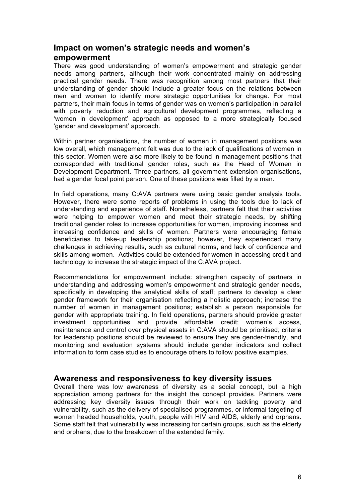### **Impact on women's strategic needs and women's empowerment**

There was good understanding of women's empowerment and strategic gender needs among partners, although their work concentrated mainly on addressing practical gender needs. There was recognition among most partners that their understanding of gender should include a greater focus on the relations between men and women to identify more strategic opportunities for change. For most partners, their main focus in terms of gender was on women's participation in parallel with poverty reduction and agricultural development programmes, reflecting a 'women in development' approach as opposed to a more strategically focused 'gender and development' approach.

Within partner organisations, the number of women in management positions was low overall, which management felt was due to the lack of qualifications of women in this sector. Women were also more likely to be found in management positions that corresponded with traditional gender roles, such as the Head of Women in Development Department. Three partners, all government extension organisations, had a gender focal point person. One of these positions was filled by a man.

In field operations, many C:AVA partners were using basic gender analysis tools. However, there were some reports of problems in using the tools due to lack of understanding and experience of staff. Nonetheless, partners felt that their activities were helping to empower women and meet their strategic needs, by shifting traditional gender roles to increase opportunities for women, improving incomes and increasing confidence and skills of women. Partners were encouraging female beneficiaries to take-up leadership positions; however, they experienced many challenges in achieving results, such as cultural norms, and lack of confidence and skills among women. Activities could be extended for women in accessing credit and technology to increase the strategic impact of the C:AVA project.

Recommendations for empowerment include: strengthen capacity of partners in understanding and addressing women's empowerment and strategic gender needs, specifically in developing the analytical skills of staff; partners to develop a clear gender framework for their organisation reflecting a holistic approach; increase the number of women in management positions; establish a person responsible for gender with appropriate training. In field operations, partners should provide greater investment opportunities and provide affordable credit; women's access, maintenance and control over physical assets in C:AVA should be prioritised; criteria for leadership positions should be reviewed to ensure they are gender-friendly, and monitoring and evaluation systems should include gender indicators and collect information to form case studies to encourage others to follow positive examples.

#### **Awareness and responsiveness to key diversity issues**

Overall there was low awareness of diversity as a social concept, but a high appreciation among partners for the insight the concept provides. Partners were addressing key diversity issues through their work on tackling poverty and vulnerability, such as the delivery of specialised programmes, or informal targeting of women headed households, youth, people with HIV and AIDS, elderly and orphans. Some staff felt that vulnerability was increasing for certain groups, such as the elderly and orphans, due to the breakdown of the extended family.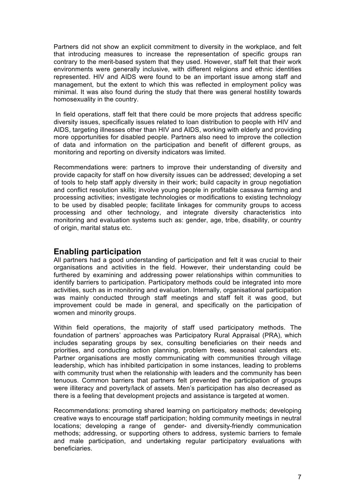Partners did not show an explicit commitment to diversity in the workplace, and felt that introducing measures to increase the representation of specific groups ran contrary to the merit-based system that they used. However, staff felt that their work environments were generally inclusive, with different religions and ethnic identities represented. HIV and AIDS were found to be an important issue among staff and management, but the extent to which this was reflected in employment policy was minimal. It was also found during the study that there was general hostility towards homosexuality in the country.

In field operations, staff felt that there could be more projects that address specific diversity issues, specifically issues related to loan distribution to people with HIV and AIDS, targeting illnesses other than HIV and AIDS, working with elderly and providing more opportunities for disabled people. Partners also need to improve the collection of data and information on the participation and benefit of different groups, as monitoring and reporting on diversity indicators was limited.

Recommendations were: partners to improve their understanding of diversity and provide capacity for staff on how diversity issues can be addressed; developing a set of tools to help staff apply diversity in their work; build capacity in group negotiation and conflict resolution skills; involve young people in profitable cassava farming and processing activities; investigate technologies or modifications to existing technology to be used by disabled people; facilitate linkages for community groups to access processing and other technology, and integrate diversity characteristics into monitoring and evaluation systems such as: gender, age, tribe, disability, or country of origin, marital status etc.

### **Enabling participation**

All partners had a good understanding of participation and felt it was crucial to their organisations and activities in the field. However, their understanding could be furthered by examining and addressing power relationships within communities to identify barriers to participation. Participatory methods could be integrated into more activities, such as in monitoring and evaluation. Internally, organisational participation was mainly conducted through staff meetings and staff felt it was good, but improvement could be made in general, and specifically on the participation of women and minority groups.

Within field operations, the majority of staff used participatory methods. The foundation of partners' approaches was Participatory Rural Appraisal (PRA), which includes separating groups by sex, consulting beneficiaries on their needs and priorities, and conducting action planning, problem trees, seasonal calendars etc. Partner organisations are mostly communicating with communities through village leadership, which has inhibited participation in some instances, leading to problems with community trust when the relationship with leaders and the community has been tenuous. Common barriers that partners felt prevented the participation of groups were illiteracy and poverty/lack of assets. Men's participation has also decreased as there is a feeling that development projects and assistance is targeted at women.

Recommendations: promoting shared learning on participatory methods; developing creative ways to encourage staff participation; holding community meetings in neutral locations; developing a range of gender- and diversity-friendly communication methods; addressing, or supporting others to address, systemic barriers to female and male participation, and undertaking regular participatory evaluations with beneficiaries.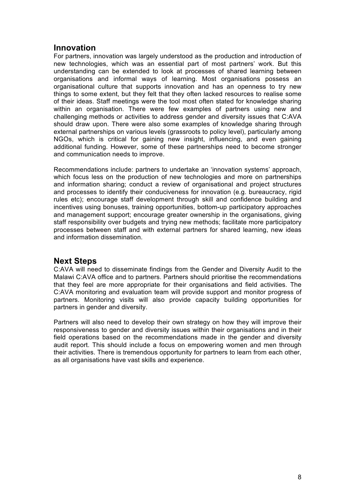### **Innovation**

For partners, innovation was largely understood as the production and introduction of new technologies, which was an essential part of most partners' work. But this understanding can be extended to look at processes of shared learning between organisations and informal ways of learning. Most organisations possess an organisational culture that supports innovation and has an openness to try new things to some extent, but they felt that they often lacked resources to realise some of their ideas. Staff meetings were the tool most often stated for knowledge sharing within an organisation. There were few examples of partners using new and challenging methods or activities to address gender and diversity issues that C:AVA should draw upon. There were also some examples of knowledge sharing through external partnerships on various levels (grassroots to policy level), particularly among NGOs, which is critical for gaining new insight, influencing, and even gaining additional funding. However, some of these partnerships need to become stronger and communication needs to improve.

Recommendations include: partners to undertake an 'innovation systems' approach, which focus less on the production of new technologies and more on partnerships and information sharing; conduct a review of organisational and project structures and processes to identify their conduciveness for innovation (e.g. bureaucracy, rigid rules etc); encourage staff development through skill and confidence building and incentives using bonuses, training opportunities, bottom-up participatory approaches and management support; encourage greater ownership in the organisations, giving staff responsibility over budgets and trying new methods; facilitate more participatory processes between staff and with external partners for shared learning, new ideas and information dissemination.

### **Next Steps**

C:AVA will need to disseminate findings from the Gender and Diversity Audit to the Malawi C:AVA office and to partners. Partners should prioritise the recommendations that they feel are more appropriate for their organisations and field activities. The C:AVA monitoring and evaluation team will provide support and monitor progress of partners. Monitoring visits will also provide capacity building opportunities for partners in gender and diversity.

Partners will also need to develop their own strategy on how they will improve their responsiveness to gender and diversity issues within their organisations and in their field operations based on the recommendations made in the gender and diversity audit report. This should include a focus on empowering women and men through their activities. There is tremendous opportunity for partners to learn from each other, as all organisations have vast skills and experience.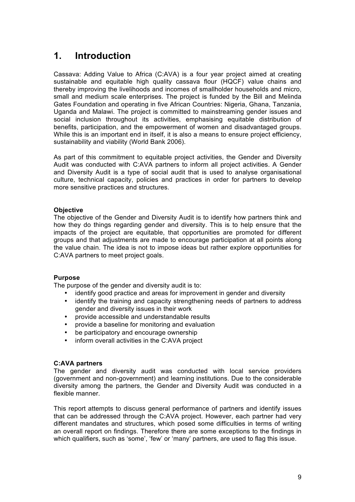## **1. Introduction**

Cassava: Adding Value to Africa (C:AVA) is a four year project aimed at creating sustainable and equitable high quality cassava flour (HQCF) value chains and thereby improving the livelihoods and incomes of smallholder households and micro, small and medium scale enterprises. The project is funded by the Bill and Melinda Gates Foundation and operating in five African Countries: Nigeria, Ghana, Tanzania, Uganda and Malawi. The project is committed to mainstreaming gender issues and social inclusion throughout its activities, emphasising equitable distribution of benefits, participation, and the empowerment of women and disadvantaged groups. While this is an important end in itself, it is also a means to ensure project efficiency, sustainability and viability (World Bank 2006).

As part of this commitment to equitable project activities, the Gender and Diversity Audit was conducted with C:AVA partners to inform all project activities. A Gender and Diversity Audit is a type of social audit that is used to analyse organisational culture, technical capacity, policies and practices in order for partners to develop more sensitive practices and structures.

#### **Objective**

The objective of the Gender and Diversity Audit is to identify how partners think and how they do things regarding gender and diversity. This is to help ensure that the impacts of the project are equitable, that opportunities are promoted for different groups and that adjustments are made to encourage participation at all points along the value chain. The idea is not to impose ideas but rather explore opportunities for C:AVA partners to meet project goals.

#### **Purpose**

The purpose of the gender and diversity audit is to:

- identify good practice and areas for improvement in gender and diversity
- identify the training and capacity strengthening needs of partners to address gender and diversity issues in their work
- provide accessible and understandable results
- provide a baseline for monitoring and evaluation
- be participatory and encourage ownership
- inform overall activities in the C:AVA project

#### **C:AVA partners**

The gender and diversity audit was conducted with local service providers (government and non-government) and learning institutions. Due to the considerable diversity among the partners, the Gender and Diversity Audit was conducted in a flexible manner.

This report attempts to discuss general performance of partners and identify issues that can be addressed through the C:AVA project. However, each partner had very different mandates and structures, which posed some difficulties in terms of writing an overall report on findings. Therefore there are some exceptions to the findings in which qualifiers, such as 'some', 'few' or 'many' partners, are used to flag this issue.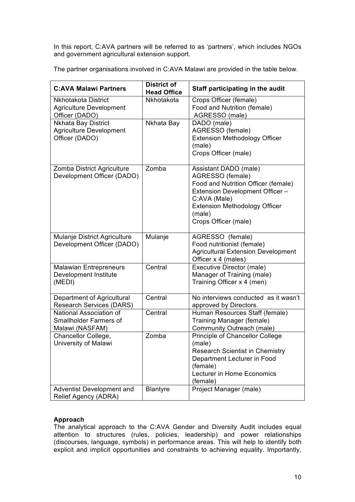In this report, C:AVA partners will be referred to as 'partners', which includes NGOs and government agricultural extension support.

The partner organisations involved in C:AVA Malawi are provided in the table below.

| <b>C:AVA Malawi Partners</b>                                                | <b>District of</b><br><b>Head Office</b> | Staff participating in the audit                                                                                                                                                                              |
|-----------------------------------------------------------------------------|------------------------------------------|---------------------------------------------------------------------------------------------------------------------------------------------------------------------------------------------------------------|
| Nkhotakota District<br><b>Agriculture Development</b><br>Officer (DADO)     | Nkhotakota                               | Crops Officer (female)<br>Food and Nutrition (female)<br>AGRESSO (male)                                                                                                                                       |
| Nkhata Bay District<br><b>Agriculture Development</b><br>Officer (DADO)     | Nkhata Bay                               | DADO (male)<br>AGRESSO (female)<br><b>Extension Methodology Officer</b><br>(male)<br>Crops Officer (male)                                                                                                     |
| Zomba District Agriculture<br>Development Officer (DADO)                    | Zomba                                    | Assistant DADO (male)<br>AGRESSO (female)<br>Food and Nutrition Officer (female)<br>Extension Development Officer -<br>C:AVA (Male)<br><b>Extension Methodology Officer</b><br>(male)<br>Crops Officer (male) |
| Mulanje District Agriculture<br>Development Officer (DADO)                  | Mulanje                                  | AGRESSO (female)<br>Food nutritionist (female)<br><b>Agricultural Extension Development</b><br>Officer x 4 (males)                                                                                            |
| <b>Malawian Entrepreneurs</b><br>Development Institute<br>(MEDI)            | Central                                  | Executive Director (male)<br>Manager of Training (male)<br>Training Officer x 4 (men)                                                                                                                         |
| Department of Agricultural<br><b>Research Services (DARS)</b>               | Central                                  | No interviews conducted as it wasn't<br>approved by Directors.                                                                                                                                                |
| National Association of<br><b>Smallholder Farmers of</b><br>Malawi (NASFAM) | Central                                  | Human Resources Staff (female)<br>Training Manager (female)<br>Community Outreach (male)                                                                                                                      |
| Chancellor College,<br>University of Malawi                                 | Zomba                                    | Principle of Chancellor College<br>(male)<br><b>Research Scientist in Chemistry</b><br>Department Lecturer in Food<br>(female)<br>Lecturer in Home Economics<br>(female)                                      |
| Adventist Development and<br>Relief Agency (ADRA)                           | <b>Blantyre</b>                          | Project Manager (male)                                                                                                                                                                                        |

#### **Approach**

The analytical approach to the C:AVA Gender and Diversity Audit includes equal attention to structures (rules, policies, leadership) and power relationships (discourses, language, symbols) in performance areas. This will help to identify both explicit and implicit opportunities and constraints to achieving equality. Importantly,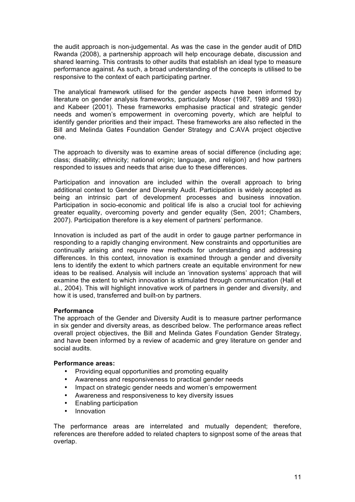the audit approach is non-judgemental. As was the case in the gender audit of DfID Rwanda (2008), a partnership approach will help encourage debate, discussion and shared learning. This contrasts to other audits that establish an ideal type to measure performance against. As such, a broad understanding of the concepts is utilised to be responsive to the context of each participating partner.

The analytical framework utilised for the gender aspects have been informed by literature on gender analysis frameworks, particularly Moser (1987, 1989 and 1993) and Kabeer (2001). These frameworks emphasise practical and strategic gender needs and women's empowerment in overcoming poverty, which are helpful to identify gender priorities and their impact. These frameworks are also reflected in the Bill and Melinda Gates Foundation Gender Strategy and C:AVA project objective one.

The approach to diversity was to examine areas of social difference (including age; class; disability; ethnicity; national origin; language, and religion) and how partners responded to issues and needs that arise due to these differences.

Participation and innovation are included within the overall approach to bring additional context to Gender and Diversity Audit. Participation is widely accepted as being an intrinsic part of development processes and business innovation. Participation in socio-economic and political life is also a crucial tool for achieving greater equality, overcoming poverty and gender equality (Sen, 2001; Chambers, 2007). Participation therefore is a key element of partners' performance.

Innovation is included as part of the audit in order to gauge partner performance in responding to a rapidly changing environment. New constraints and opportunities are continually arising and require new methods for understanding and addressing differences. In this context, innovation is examined through a gender and diversity lens to identify the extent to which partners create an equitable environment for new ideas to be realised. Analysis will include an 'innovation systems' approach that will examine the extent to which innovation is stimulated through communication (Hall et al., 2004). This will highlight innovative work of partners in gender and diversity, and how it is used, transferred and built-on by partners.

#### **Performance**

The approach of the Gender and Diversity Audit is to measure partner performance in six gender and diversity areas, as described below. The performance areas reflect overall project objectives, the Bill and Melinda Gates Foundation Gender Strategy, and have been informed by a review of academic and grey literature on gender and social audits.

#### **Performance areas:**

- Providing equal opportunities and promoting equality
- Awareness and responsiveness to practical gender needs
- Impact on strategic gender needs and women's empowerment
- Awareness and responsiveness to key diversity issues
- Enabling participation
- Innovation

The performance areas are interrelated and mutually dependent; therefore, references are therefore added to related chapters to signpost some of the areas that overlap.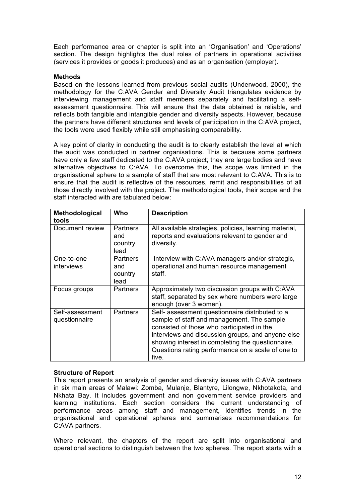Each performance area or chapter is split into an 'Organisation' and 'Operations' section. The design highlights the dual roles of partners in operational activities (services it provides or goods it produces) and as an organisation (employer).

#### **Methods**

Based on the lessons learned from previous social audits (Underwood, 2000), the methodology for the C:AVA Gender and Diversity Audit triangulates evidence by interviewing management and staff members separately and facilitating a selfassessment questionnaire. This will ensure that the data obtained is reliable, and reflects both tangible and intangible gender and diversity aspects. However, because the partners have different structures and levels of participation in the C:AVA project, the tools were used flexibly while still emphasising comparability.

A key point of clarity in conducting the audit is to clearly establish the level at which the audit was conducted in partner organisations. This is because some partners have only a few staff dedicated to the C:AVA project; they are large bodies and have alternative objectives to C:AVA. To overcome this, the scope was limited in the organisational sphere to a sample of staff that are most relevant to C:AVA. This is to ensure that the audit is reflective of the resources, remit and responsibilities of all those directly involved with the project. The methodological tools, their scope and the staff interacted with are tabulated below:

| Methodological<br>tools          | Who                                       | <b>Description</b>                                                                                                                                                                                                                                                                                                  |
|----------------------------------|-------------------------------------------|---------------------------------------------------------------------------------------------------------------------------------------------------------------------------------------------------------------------------------------------------------------------------------------------------------------------|
| Document review                  | <b>Partners</b><br>and<br>country<br>lead | All available strategies, policies, learning material,<br>reports and evaluations relevant to gender and<br>diversity.                                                                                                                                                                                              |
| One-to-one<br>interviews         | <b>Partners</b><br>and<br>country<br>lead | Interview with C:AVA managers and/or strategic,<br>operational and human resource management<br>staff.                                                                                                                                                                                                              |
| Focus groups                     | <b>Partners</b>                           | Approximately two discussion groups with C:AVA<br>staff, separated by sex where numbers were large<br>enough (over 3 women).                                                                                                                                                                                        |
| Self-assessment<br>questionnaire | <b>Partners</b>                           | Self- assessment questionnaire distributed to a<br>sample of staff and management. The sample<br>consisted of those who participated in the<br>interviews and discussion groups, and anyone else<br>showing interest in completing the questionnaire.<br>Questions rating performance on a scale of one to<br>five. |

#### **Structure of Report**

This report presents an analysis of gender and diversity issues with C:AVA partners in six main areas of Malawi: Zomba, Mulanje, Blantyre, Lilongwe, Nkhotakota, and Nkhata Bay. It includes government and non government service providers and learning institutions. Each section considers the current understanding of performance areas among staff and management, identifies trends in the organisational and operational spheres and summarises recommendations for C:AVA partners.

Where relevant, the chapters of the report are split into organisational and operational sections to distinguish between the two spheres. The report starts with a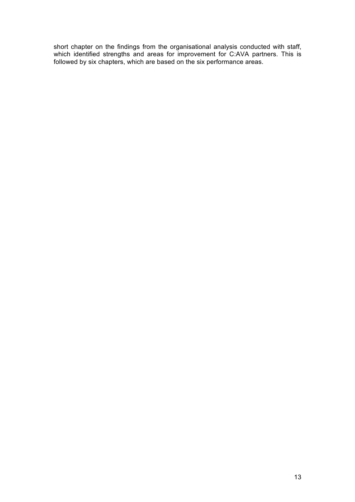short chapter on the findings from the organisational analysis conducted with staff, which identified strengths and areas for improvement for C:AVA partners. This is followed by six chapters, which are based on the six performance areas.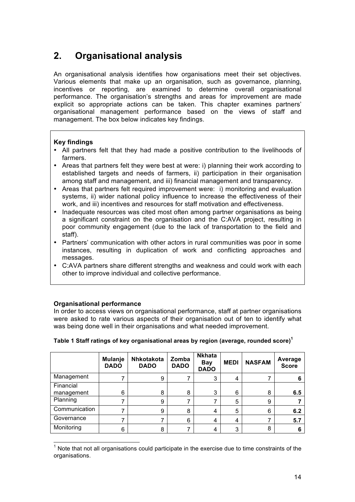## **2. Organisational analysis**

An organisational analysis identifies how organisations meet their set objectives. Various elements that make up an organisation, such as governance, planning, incentives or reporting, are examined to determine overall organisational performance. The organisation's strengths and areas for improvement are made explicit so appropriate actions can be taken. This chapter examines partners' organisational management performance based on the views of staff and management. The box below indicates key findings.

#### **Key findings**

- All partners felt that they had made a positive contribution to the livelihoods of farmers.
- Areas that partners felt they were best at were: i) planning their work according to established targets and needs of farmers, ii) participation in their organisation among staff and management, and iii) financial management and transparency.
- Areas that partners felt required improvement were: i) monitoring and evaluation systems, ii) wider national policy influence to increase the effectiveness of their work, and iii) incentives and resources for staff motivation and effectiveness.
- Inadequate resources was cited most often among partner organisations as being a significant constraint on the organisation and the C:AVA project, resulting in poor community engagement (due to the lack of transportation to the field and staff).
- Partners' communication with other actors in rural communities was poor in some instances, resulting in duplication of work and conflicting approaches and messages.
- C:AVA partners share different strengths and weakness and could work with each other to improve individual and collective performance.

#### **Organisational performance**

In order to access views on organisational performance, staff at partner organisations were asked to rate various aspects of their organisation out of ten to identify what was being done well in their organisations and what needed improvement.

|               | <b>Mulanje</b><br><b>DADO</b> | <b>Nhkotakota</b><br><b>DADO</b> | Zomba<br><b>DADO</b> | <b>Nkhata</b><br><b>Bay</b><br><b>DADO</b> | <b>MEDI</b> | <b>NASFAM</b> | Average<br><b>Score</b> |
|---------------|-------------------------------|----------------------------------|----------------------|--------------------------------------------|-------------|---------------|-------------------------|
| Management    |                               | 9                                |                      | 3                                          | 4           | 7             | 6                       |
| Financial     |                               |                                  |                      |                                            |             |               |                         |
| management    | 6                             | 8                                | 8                    | 3                                          | 6           | 8             | 6.5                     |
| Planning      |                               | 9                                |                      |                                            | 5           | 9             |                         |
| Communication |                               | 9                                | 8                    | 4                                          | 5           | 6             | 6.2                     |
| Governance    |                               |                                  | 6                    | 4                                          | 4           | 7             | 5.7                     |
| Monitoring    | 6                             | 8                                |                      | 4                                          | 3           | 8             | 6                       |

#### **Table 1 Staff ratings of key organisational areas by region (average, rounded score) 1**

 $<sup>1</sup>$  Note that not all organisations could participate in the exercise due to time constraints of the</sup> organisations.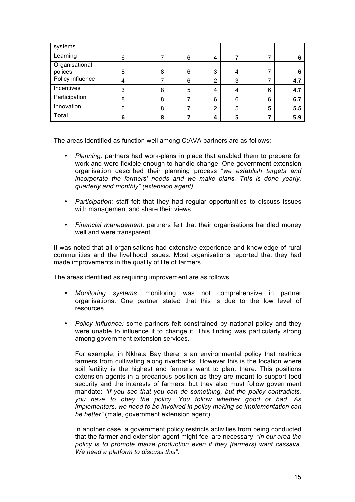| systems          |   |   |   |                |   |   |     |
|------------------|---|---|---|----------------|---|---|-----|
| Learning         | 6 |   | 6 | 4              |   |   |     |
| Organisational   |   |   |   |                |   |   |     |
| polices          | 8 | 8 | 6 | 3              | 4 |   | n   |
| Policy influence | 4 |   | 6 | 2              | 3 |   | 4.7 |
| Incentives       | 3 | 8 | 5 | 4              | 4 | 6 | 4.7 |
| Participation    | 8 | 8 |   | 6              | 6 | 6 | 6.7 |
| Innovation       | 6 | 8 |   | $\overline{2}$ | 5 | 5 | 5.5 |
| <b>Total</b>     | 6 | 8 |   | 4              | 5 |   | 5.9 |

The areas identified as function well among C:AVA partners are as follows:

- *Planning:* partners had work-plans in place that enabled them to prepare for work and were flexible enough to handle change. One government extension organisation described their planning process "*we establish targets and incorporate the farmers' needs and we make plans. This is done yearly, quarterly and monthly" (extension agent).*
- *Participation:* staff felt that they had regular opportunities to discuss issues with management and share their views.
- *Financial management:* partners felt that their organisations handled money well and were transparent.

It was noted that all organisations had extensive experience and knowledge of rural communities and the livelihood issues. Most organisations reported that they had made improvements in the quality of life of farmers.

The areas identified as requiring improvement are as follows:

- *Monitoring systems:* monitoring was not comprehensive in partner organisations. One partner stated that this is due to the low level of resources.
- *Policy influence:* some partners felt constrained by national policy and they were unable to influence it to change it. This finding was particularly strong among government extension services.

For example, in Nkhata Bay there is an environmental policy that restricts farmers from cultivating along riverbanks. However this is the location where soil fertility is the highest and farmers want to plant there. This positions extension agents in a precarious position as they are meant to support food security and the interests of farmers, but they also must follow government mandate: *"If you see that you can do something, but the policy contradicts, you have to obey the policy. You follow whether good or bad. As implementers, we need to be involved in policy making so implementation can be better"* (male, government extension agent).

In another case, a government policy restricts activities from being conducted that the farmer and extension agent might feel are necessary: *"in our area the policy is to promote maize production even if they [farmers] want cassava. We need a platform to discuss this".*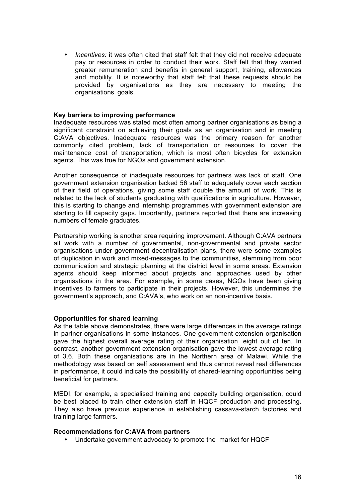• *Incentives:* it was often cited that staff felt that they did not receive adequate pay or resources in order to conduct their work. Staff felt that they wanted greater remuneration and benefits in general support, training, allowances and mobility. It is noteworthy that staff felt that these requests should be provided by organisations as they are necessary to meeting the organisations' goals.

#### **Key barriers to improving performance**

Inadequate resources was stated most often among partner organisations as being a significant constraint on achieving their goals as an organisation and in meeting C:AVA objectives. Inadequate resources was the primary reason for another commonly cited problem, lack of transportation or resources to cover the maintenance cost of transportation, which is most often bicycles for extension agents. This was true for NGOs and government extension.

Another consequence of inadequate resources for partners was lack of staff. One government extension organisation lacked 56 staff to adequately cover each section of their field of operations, giving some staff double the amount of work. This is related to the lack of students graduating with qualifications in agriculture. However, this is starting to change and internship programmes with government extension are starting to fill capacity gaps. Importantly, partners reported that there are increasing numbers of female graduates.

Partnership working is another area requiring improvement. Although C:AVA partners all work with a number of governmental, non-governmental and private sector organisations under government decentralisation plans, there were some examples of duplication in work and mixed-messages to the communities, stemming from poor communication and strategic planning at the district level in some areas. Extension agents should keep informed about projects and approaches used by other organisations in the area. For example, in some cases, NGOs have been giving incentives to farmers to participate in their projects. However, this undermines the government's approach, and C:AVA's, who work on an non-incentive basis.

#### **Opportunities for shared learning**

As the table above demonstrates, there were large differences in the average ratings in partner organisations in some instances. One government extension organisation gave the highest overall average rating of their organisation, eight out of ten. In contrast, another government extension organisation gave the lowest average rating of 3.6. Both these organisations are in the Northern area of Malawi. While the methodology was based on self assessment and thus cannot reveal real differences in performance, it could indicate the possibility of shared-learning opportunities being beneficial for partners.

MEDI, for example, a specialised training and capacity building organisation, could be best placed to train other extension staff in HQCF production and processing. They also have previous experience in establishing cassava-starch factories and training large farmers.

#### **Recommendations for C:AVA from partners**

• Undertake government advocacy to promote the market for HQCF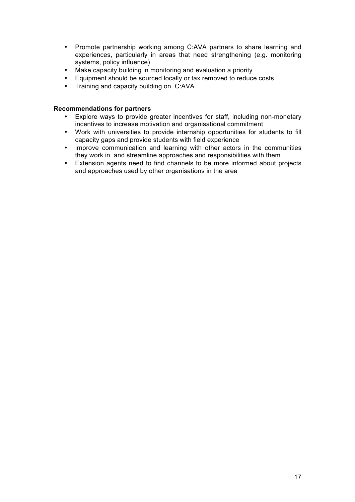- Promote partnership working among C:AVA partners to share learning and experiences, particularly in areas that need strengthening (e.g. monitoring systems, policy influence)
- Make capacity building in monitoring and evaluation a priority
- Equipment should be sourced locally or tax removed to reduce costs
- Training and capacity building on C:AVA

#### **Recommendations for partners**

- Explore ways to provide greater incentives for staff, including non-monetary incentives to increase motivation and organisational commitment
- Work with universities to provide internship opportunities for students to fill capacity gaps and provide students with field experience
- Improve communication and learning with other actors in the communities they work in and streamline approaches and responsibilities with them
- Extension agents need to find channels to be more informed about projects and approaches used by other organisations in the area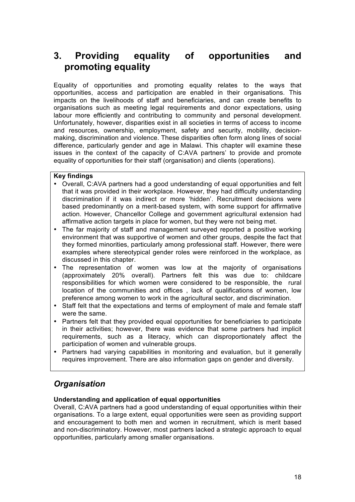## **3. Providing equality of opportunities and promoting equality**

Equality of opportunities and promoting equality relates to the ways that opportunities, access and participation are enabled in their organisations. This impacts on the livelihoods of staff and beneficiaries, and can create benefits to organisations such as meeting legal requirements and donor expectations, using labour more efficiently and contributing to community and personal development. Unfortunately, however, disparities exist in all societies in terms of access to income and resources, ownership, employment, safety and security, mobility, decisionmaking, discrimination and violence. These disparities often form along lines of social difference, particularly gender and age in Malawi. This chapter will examine these issues in the context of the capacity of C:AVA partners' to provide and promote equality of opportunities for their staff (organisation) and clients (operations).

#### **Key findings**

- Overall, C:AVA partners had a good understanding of equal opportunities and felt that it was provided in their workplace. However, they had difficulty understanding discrimination if it was indirect or more 'hidden'. Recruitment decisions were based predominantly on a merit-based system, with some support for affirmative action. However, Chancellor College and government agricultural extension had affirmative action targets in place for women, but they were not being met.
- The far majority of staff and management surveyed reported a positive working environment that was supportive of women and other groups, despite the fact that they formed minorities, particularly among professional staff. However, there were examples where stereotypical gender roles were reinforced in the workplace, as discussed in this chapter.
- The representation of women was low at the majority of organisations (approximately 20% overall). Partners felt this was due to: childcare responsibilities for which women were considered to be responsible, the rural location of the communities and offices , lack of qualifications of women, low preference among women to work in the agricultural sector, and discrimination.
- Staff felt that the expectations and terms of employment of male and female staff were the same.
- Partners felt that they provided equal opportunities for beneficiaries to participate in their activities; however, there was evidence that some partners had implicit requirements, such as a literacy, which can disproportionately affect the participation of women and vulnerable groups.
- Partners had varying capabilities in monitoring and evaluation, but it generally requires improvement. There are also information gaps on gender and diversity.

## *Organisation*

#### **Understanding and application of equal opportunities**

Overall, C:AVA partners had a good understanding of equal opportunities within their organisations. To a large extent, equal opportunities were seen as providing support and encouragement to both men and women in recruitment, which is merit based and non-discriminatory. However, most partners lacked a strategic approach to equal opportunities, particularly among smaller organisations.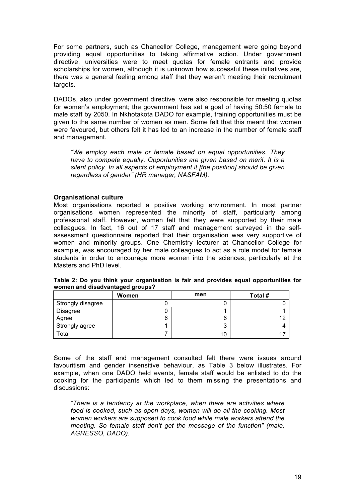For some partners, such as Chancellor College, management were going beyond providing equal opportunities to taking affirmative action. Under government directive, universities were to meet quotas for female entrants and provide scholarships for women, although it is unknown how successful these initiatives are, there was a general feeling among staff that they weren't meeting their recruitment targets.

DADOs, also under government directive, were also responsible for meeting quotas for women's employment; the government has set a goal of having 50:50 female to male staff by 2050. In Nkhotakota DADO for example, training opportunities must be given to the same number of women as men. Some felt that this meant that women were favoured, but others felt it has led to an increase in the number of female staff and management.

*"We employ each male or female based on equal opportunities. They have to compete equally. Opportunities are given based on merit. It is a silent policy. In all aspects of employment it [the position] should be given regardless of gender" (HR manager, NASFAM).* 

#### **Organisational culture**

Most organisations reported a positive working environment. In most partner organisations women represented the minority of staff, particularly among professional staff. However, women felt that they were supported by their male colleagues. In fact, 16 out of 17 staff and management surveyed in the selfassessment questionnaire reported that their organisation was very supportive of women and minority groups. One Chemistry lecturer at Chancellor College for example, was encouraged by her male colleagues to act as a role model for female students in order to encourage more women into the sciences, particularly at the Masters and PhD level.

|                   | Women | men | Total # |
|-------------------|-------|-----|---------|
| Strongly disagree |       | u   |         |
| Disagree          |       |     |         |
| Agree             | 6     | 6   | ィク      |
| Strongly agree    |       | 3   |         |
| Total             |       | 10  |         |

| Table 2: Do you think your organisation is fair and provides equal opportunities for |  |  |  |
|--------------------------------------------------------------------------------------|--|--|--|
| women and disadvantaged groups?                                                      |  |  |  |

Some of the staff and management consulted felt there were issues around favouritism and gender insensitive behaviour, as Table 3 below illustrates. For example, when one DADO held events, female staff would be enlisted to do the cooking for the participants which led to them missing the presentations and discussions:

*"There is a tendency at the workplace, when there are activities where food is cooked, such as open days, women will do all the cooking. Most women workers are supposed to cook food while male workers attend the meeting. So female staff don't get the message of the function" (male, AGRESSO, DADO).*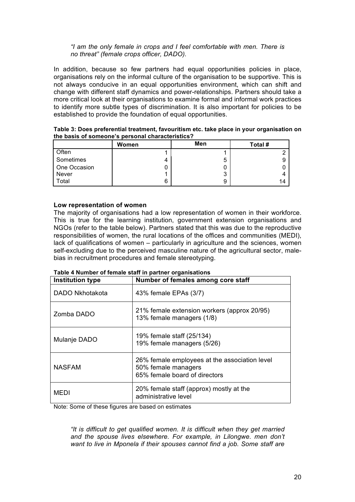#### *"I am the only female in crops and I feel comfortable with men. There is no threat" (female crops officer, DADO).*

In addition, because so few partners had equal opportunities policies in place, organisations rely on the informal culture of the organisation to be supportive. This is not always conducive in an equal opportunities environment, which can shift and change with different staff dynamics and power-relationships. Partners should take a more critical look at their organisations to examine formal and informal work practices to identify more subtle types of discrimination. It is also important for policies to be established to provide the foundation of equal opportunities.

|              | Women | Men | Total # |
|--------------|-------|-----|---------|
| Often        |       |     |         |
| Sometimes    | 4     | 5   |         |
| One Occasion |       |     |         |
| Never        |       | 3   |         |
| Total        | 6     | 9   | 14      |

**Table 3: Does preferential treatment, favouritism etc. take place in your organisation on the basis of someone's personal characteristics?**

#### **Low representation of women**

The majority of organisations had a low representation of women in their workforce. This is true for the learning institution, government extension organisations and NGOs (refer to the table below). Partners stated that this was due to the reproductive responsibilities of women, the rural locations of the offices and communities (MEDI), lack of qualifications of women – particularly in agriculture and the sciences, women self-excluding due to the perceived masculine nature of the agricultural sector, malebias in recruitment procedures and female stereotyping.

| <b>Institution type</b> | Number of females among core staff                                                                    |
|-------------------------|-------------------------------------------------------------------------------------------------------|
| DADO Nkhotakota         | 43% female EPAs (3/7)                                                                                 |
| Zomba DADO              | 21% female extension workers (approx 20/95)<br>13% female managers (1/8)                              |
| Mulanje DADO            | 19% female staff (25/134)<br>19% female managers (5/26)                                               |
| <b>NASFAM</b>           | 26% female employees at the association level<br>50% female managers<br>65% female board of directors |
| MEDI                    | 20% female staff (approx) mostly at the<br>administrative level                                       |

#### **Table 4 Number of female staff in partner organisations**

Note: Some of these figures are based on estimates

*"It is difficult to get qualified women. It is difficult when they get married and the spouse lives elsewhere. For example, in Lilongwe. men don't want to live in Mponela if their spouses cannot find a job. Some staff are*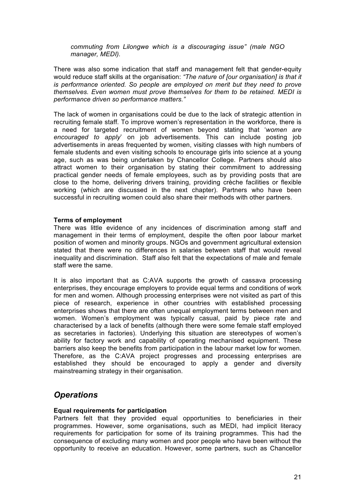*commuting from Lilongwe which is a discouraging issue" (male NGO manager, MEDI).*

There was also some indication that staff and management felt that gender-equity would reduce staff skills at the organisation: *"The nature of [our organisation] is that it is performance oriented. So people are employed on merit but they need to prove themselves. Even women must prove themselves for them to be retained. MEDI is performance driven so performance matters."*

The lack of women in organisations could be due to the lack of strategic attention in recruiting female staff. To improve women's representation in the workforce, there is a need for targeted recruitment of women beyond stating that '*women are encouraged to apply*' on job advertisements. This can include posting job advertisements in areas frequented by women, visiting classes with high numbers of female students and even visiting schools to encourage girls into science at a young age, such as was being undertaken by Chancellor College. Partners should also attract women to their organisation by stating their commitment to addressing practical gender needs of female employees, such as by providing posts that are close to the home, delivering drivers training, providing crèche facilities or flexible working (which are discussed in the next chapter). Partners who have been successful in recruiting women could also share their methods with other partners.

#### **Terms of employment**

There was little evidence of any incidences of discrimination among staff and management in their terms of employment, despite the often poor labour market position of women and minority groups. NGOs and government agricultural extension stated that there were no differences in salaries between staff that would reveal inequality and discrimination. Staff also felt that the expectations of male and female staff were the same.

It is also important that as C:AVA supports the growth of cassava processing enterprises, they encourage employers to provide equal terms and conditions of work for men and women. Although processing enterprises were not visited as part of this piece of research, experience in other countries with established processing enterprises shows that there are often unequal employment terms between men and women. Women's employment was typically casual, paid by piece rate and characterised by a lack of benefits (although there were some female staff employed as secretaries in factories). Underlying this situation are stereotypes of women's ability for factory work and capability of operating mechanised equipment. These barriers also keep the benefits from participation in the labour market low for women. Therefore, as the C:AVA project progresses and processing enterprises are established they should be encouraged to apply a gender and diversity mainstreaming strategy in their organisation.

## *Operations*

#### **Equal requirements for participation**

Partners felt that they provided equal opportunities to beneficiaries in their programmes. However, some organisations, such as MEDI, had implicit literacy requirements for participation for some of its training programmes. This had the consequence of excluding many women and poor people who have been without the opportunity to receive an education. However, some partners, such as Chancellor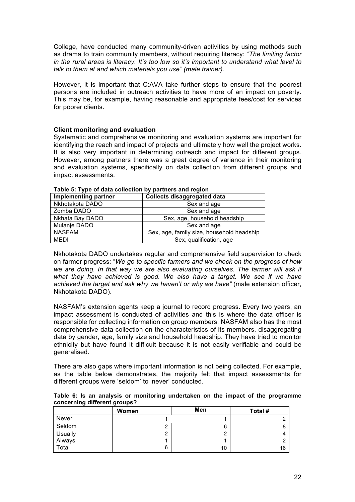College, have conducted many community-driven activities by using methods such as drama to train community members, without requiring literacy: *"The limiting factor in the rural areas is literacy. It's too low so it's important to understand what level to talk to them at and which materials you use" (male trainer).*

However, it is important that C:AVA take further steps to ensure that the poorest persons are included in outreach activities to have more of an impact on poverty. This may be, for example, having reasonable and appropriate fees/cost for services for poorer clients.

#### **Client monitoring and evaluation**

Systematic and comprehensive monitoring and evaluation systems are important for identifying the reach and impact of projects and ultimately how well the project works. It is also very important in determining outreach and impact for different groups. However, among partners there was a great degree of variance in their monitoring and evaluation systems, specifically on data collection from different groups and impact assessments.

| <b>Implementing partner</b> | <b>Collects disaggregated data</b>        |
|-----------------------------|-------------------------------------------|
| Nkhotakota DADO             | Sex and age                               |
| Zomba DADO                  | Sex and age                               |
| Nkhata Bay DADO             | Sex, age, household headship              |
| Mulanje DADO                | Sex and age                               |
| <b>NASFAM</b>               | Sex, age, family size, household headship |
| MEDI                        | Sex, qualification, age                   |

**Table 5: Type of data collection by partners and region**

Nkhotakota DADO undertakes regular and comprehensive field supervision to check on farmer progress: "*We go to specific farmers and we check on the progress of how we are doing. In that way we are also evaluating ourselves. The farmer will ask if*  what they have achieved is good. We also have a target. We see if we have *achieved the target and ask why we haven't or why we have"* (male extension officer, Nkhotakota DADO).

NASFAM's extension agents keep a journal to record progress. Every two years, an impact assessment is conducted of activities and this is where the data officer is responsible for collecting information on group members. NASFAM also has the most comprehensive data collection on the characteristics of its members, disaggregating data by gender, age, family size and household headship. They have tried to monitor ethnicity but have found it difficult because it is not easily verifiable and could be generalised.

There are also gaps where important information is not being collected. For example, as the table below demonstrates, the majority felt that impact assessments for different groups were 'seldom' to 'never' conducted.

| concerning unrerent groups: |       |     |         |  |  |
|-----------------------------|-------|-----|---------|--|--|
|                             | Women | Men | Total # |  |  |
| Never                       |       |     |         |  |  |
| Seldom                      | ⌒     | 6   | 8       |  |  |
| <b>Usually</b>              | ⌒     | n   | 4       |  |  |
| Always                      |       |     | 2       |  |  |
| Total                       | 6     | 10  | 16      |  |  |

**Table 6: Is an analysis or monitoring undertaken on the impact of the programme concerning different groups?**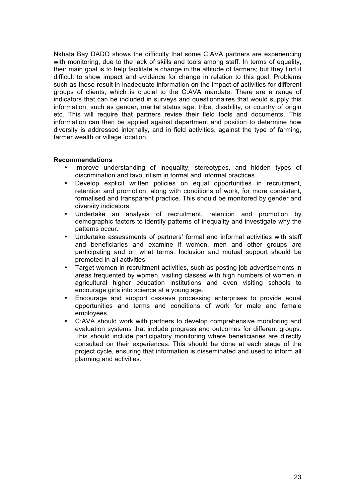Nkhata Bay DADO shows the difficulty that some C:AVA partners are experiencing with monitoring, due to the lack of skills and tools among staff. In terms of equality, their main goal is to help facilitate a change in the attitude of farmers; but they find it difficult to show impact and evidence for change in relation to this goal. Problems such as these result in inadequate information on the impact of activities for different groups of clients, which is crucial to the C:AVA mandate. There are a range of indicators that can be included in surveys and questionnaires that would supply this information, such as gender, marital status age, tribe, disability, or country of origin etc. This will require that partners revise their field tools and documents. This information can then be applied against department and position to determine how diversity is addressed internally, and in field activities, against the type of farming, farmer wealth or village location.

#### **Recommendations**

- Improve understanding of inequality, stereotypes, and hidden types of discrimination and favouritism in formal and informal practices.
- Develop explicit written policies on equal opportunities in recruitment, retention and promotion, along with conditions of work, for more consistent, formalised and transparent practice. This should be monitored by gender and diversity indicators.
- Undertake an analysis of recruitment, retention and promotion by demographic factors to identify patterns of inequality and investigate why the patterns occur.
- Undertake assessments of partners' formal and informal activities with staff and beneficiaries and examine if women, men and other groups are participating and on what terms. Inclusion and mutual support should be promoted in all activities
- Target women in recruitment activities, such as posting job advertisements in areas frequented by women, visiting classes with high numbers of women in agricultural higher education institutions and even visiting schools to encourage girls into science at a young age.
- Encourage and support cassava processing enterprises to provide equal opportunities and terms and conditions of work for male and female employees.
- C:AVA should work with partners to develop comprehensive monitoring and evaluation systems that include progress and outcomes for different groups. This should include participatory monitoring where beneficiaries are directly consulted on their experiences. This should be done at each stage of the project cycle, ensuring that information is disseminated and used to inform all planning and activities.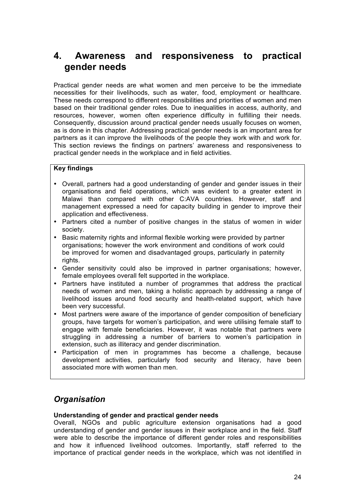## **4. Awareness and responsiveness to practical gender needs**

Practical gender needs are what women and men perceive to be the immediate necessities for their livelihoods, such as water, food, employment or healthcare. These needs correspond to different responsibilities and priorities of women and men based on their traditional gender roles. Due to inequalities in access, authority, and resources, however, women often experience difficulty in fulfilling their needs. Consequently, discussion around practical gender needs usually focuses on women, as is done in this chapter. Addressing practical gender needs is an important area for partners as it can improve the livelihoods of the people they work with and work for. This section reviews the findings on partners' awareness and responsiveness to practical gender needs in the workplace and in field activities.

#### **Key findings**

- Overall, partners had a good understanding of gender and gender issues in their organisations and field operations, which was evident to a greater extent in Malawi than compared with other C:AVA countries. However, staff and management expressed a need for capacity building in gender to improve their application and effectiveness.
- Partners cited a number of positive changes in the status of women in wider society.
- Basic maternity rights and informal flexible working were provided by partner organisations; however the work environment and conditions of work could be improved for women and disadvantaged groups, particularly in paternity rights.
- Gender sensitivity could also be improved in partner organisations; however, female employees overall felt supported in the workplace.
- Partners have instituted a number of programmes that address the practical needs of women and men, taking a holistic approach by addressing a range of livelihood issues around food security and health-related support, which have been very successful.
- Most partners were aware of the importance of gender composition of beneficiary groups, have targets for women's participation, and were utilising female staff to engage with female beneficiaries. However, it was notable that partners were struggling in addressing a number of barriers to women's participation in extension, such as illiteracy and gender discrimination.
- Participation of men in programmes has become a challenge, because development activities, particularly food security and literacy, have been associated more with women than men.

## *Organisation*

#### **Understanding of gender and practical gender needs**

Overall, NGOs and public agriculture extension organisations had a good understanding of gender and gender issues in their workplace and in the field. Staff were able to describe the importance of different gender roles and responsibilities and how it influenced livelihood outcomes. Importantly, staff referred to the importance of practical gender needs in the workplace, which was not identified in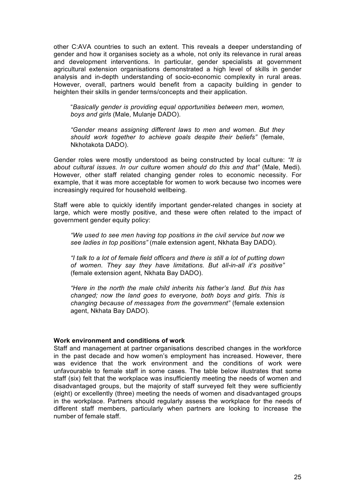other C:AVA countries to such an extent. This reveals a deeper understanding of gender and how it organises society as a whole, not only its relevance in rural areas and development interventions. In particular, gender specialists at government agricultural extension organisations demonstrated a high level of skills in gender analysis and in-depth understanding of socio-economic complexity in rural areas. However, overall, partners would benefit from a capacity building in gender to heighten their skills in gender terms/concepts and their application.

"*Basically gender is providing equal opportunities between men, women, boys and girls* (Male, Mulanje DADO).

*"Gender means assigning different laws to men and women. But they should work together to achieve goals despite their beliefs"* (female, Nkhotakota DADO).

Gender roles were mostly understood as being constructed by local culture: *"It is about cultural issues. In our culture women should do this and that"* (Male, Medi). However, other staff related changing gender roles to economic necessity. For example, that it was more acceptable for women to work because two incomes were increasingly required for household wellbeing.

Staff were able to quickly identify important gender-related changes in society at large, which were mostly positive, and these were often related to the impact of government gender equity policy:

*"We used to see men having top positions in the civil service but now we see ladies in top positions"* (male extension agent, Nkhata Bay DADO).

*"I talk to a lot of female field officers and there is still a lot of putting down of women. They say they have limitations. But all-in-all it's positive"* (female extension agent, Nkhata Bay DADO).

*"Here in the north the male child inherits his father's land. But this has changed; now the land goes to everyone, both boys and girls. This is changing because of messages from the government"* (female extension agent, Nkhata Bay DADO).

#### **Work environment and conditions of work**

Staff and management at partner organisations described changes in the workforce in the past decade and how women's employment has increased. However, there was evidence that the work environment and the conditions of work were unfavourable to female staff in some cases. The table below illustrates that some staff (six) felt that the workplace was insufficiently meeting the needs of women and disadvantaged groups, but the majority of staff surveyed felt they were sufficiently (eight) or excellently (three) meeting the needs of women and disadvantaged groups in the workplace. Partners should regularly assess the workplace for the needs of different staff members, particularly when partners are looking to increase the number of female staff.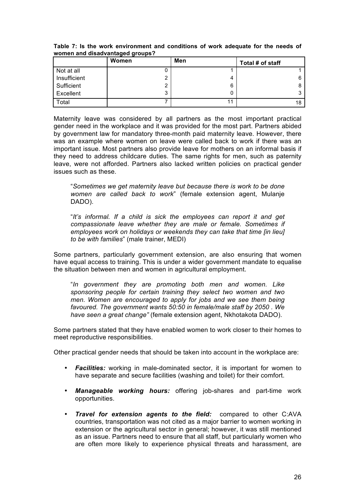| women and albaavantaged groups. |       |     |                  |  |  |
|---------------------------------|-------|-----|------------------|--|--|
|                                 | Women | Men | Total # of staff |  |  |
| Not at all                      |       |     |                  |  |  |
| Insufficient                    |       |     |                  |  |  |
| Sufficient                      |       | 6   |                  |  |  |
| Excellent                       | ມ     |     |                  |  |  |
| Total                           |       | 11  |                  |  |  |

**Table 7: Is the work environment and conditions of work adequate for the needs of women and disadvantaged groups?** 

Maternity leave was considered by all partners as the most important practical gender need in the workplace and it was provided for the most part. Partners abided by government law for mandatory three-month paid maternity leave. However, there was an example where women on leave were called back to work if there was an important issue. Most partners also provide leave for mothers on an informal basis if they need to address childcare duties. The same rights for men, such as paternity leave, were not afforded. Partners also lacked written policies on practical gender issues such as these.

"*Sometimes we get maternity leave but because there is work to be done women are called back to work*" (female extension agent, Mulanje DADO).

"*It's informal. If a child is sick the employees can report it and get compassionate leave whether they are male or female. Sometimes if employees work on holidays or weekends they can take that time [in lieu] to be with families*" (male trainer, MEDI)

Some partners, particularly government extension, are also ensuring that women have equal access to training. This is under a wider government mandate to equalise the situation between men and women in agricultural employment.

"*In government they are promoting both men and women. Like sponsoring people for certain training they select two women and two men. Women are encouraged to apply for jobs and we see them being favoured. The government wants 50:50 in female/male staff by 2050 . We have seen a great change"* (female extension agent, Nkhotakota DADO).

Some partners stated that they have enabled women to work closer to their homes to meet reproductive responsibilities.

Other practical gender needs that should be taken into account in the workplace are:

- *Facilities:* working in male-dominated sector, it is important for women to have separate and secure facilities (washing and toilet) for their comfort.
- *Manageable working hours:* offering job-shares and part-time work opportunities.
- *Travel for extension agents to the field:* compared to other C:AVA countries, transportation was not cited as a major barrier to women working in extension or the agricultural sector in general; however, it was still mentioned as an issue. Partners need to ensure that all staff, but particularly women who are often more likely to experience physical threats and harassment, are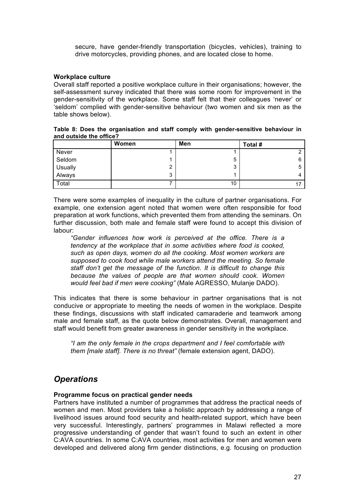secure, have gender-friendly transportation (bicycles, vehicles), training to drive motorcycles, providing phones, and are located close to home.

#### **Workplace culture**

Overall staff reported a positive workplace culture in their organisations; however, the self-assessment survey indicated that there was some room for improvement in the gender-sensitivity of the workplace. Some staff felt that their colleagues 'never' or 'seldom' complied with gender-sensitive behaviour (two women and six men as the table shows below).

|                         |  | Table 8: Does the organisation and staff comply with gender-sensitive behaviour in |  |
|-------------------------|--|------------------------------------------------------------------------------------|--|
| and outside the office? |  |                                                                                    |  |

|         | Women  | Men | Total # |
|---------|--------|-----|---------|
| Never   |        |     |         |
| Seldom  |        | 5   | 6       |
| Usually | ົ      | 3   |         |
| Always  | 2<br>ື |     |         |
| Total   |        | 10  |         |

There were some examples of inequality in the culture of partner organisations. For example, one extension agent noted that women were often responsible for food preparation at work functions, which prevented them from attending the seminars. On further discussion, both male and female staff were found to accept this division of labour:

*"Gender influences how work is perceived at the office. There is a tendency at the workplace that in some activities where food is cooked, such as open days, women do all the cooking. Most women workers are supposed to cook food while male workers attend the meeting. So female staff don't get the message of the function. It is difficult to change this because the values of people are that women should cook. Women would feel bad if men were cooking"* (Male AGRESSO, Mulanje DADO).

This indicates that there is some behaviour in partner organisations that is not conducive or appropriate to meeting the needs of women in the workplace. Despite these findings, discussions with staff indicated camaraderie and teamwork among male and female staff, as the quote below demonstrates. Overall, management and staff would benefit from greater awareness in gender sensitivity in the workplace.

*"I am the only female in the crops department and I feel comfortable with them [male staff]. There is no threat"* (female extension agent, DADO).

## *Operations*

#### **Programme focus on practical gender needs**

Partners have instituted a number of programmes that address the practical needs of women and men. Most providers take a holistic approach by addressing a range of livelihood issues around food security and health-related support, which have been very successful. Interestingly, partners' programmes in Malawi reflected a more progressive understanding of gender that wasn't found to such an extent in other C:AVA countries. In some C:AVA countries, most activities for men and women were developed and delivered along firm gender distinctions, e.g. focusing on production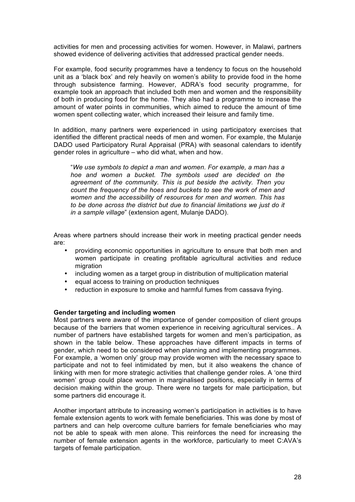activities for men and processing activities for women. However, in Malawi, partners showed evidence of delivering activities that addressed practical gender needs.

For example, food security programmes have a tendency to focus on the household unit as a 'black box' and rely heavily on women's ability to provide food in the home through subsistence farming. However, ADRA's food security programme, for example took an approach that included both men and women and the responsibility of both in producing food for the home. They also had a programme to increase the amount of water points in communities, which aimed to reduce the amount of time women spent collecting water, which increased their leisure and family time.

In addition, many partners were experienced in using participatory exercises that identified the different practical needs of men and women. For example, the Mulanje DADO used Participatory Rural Appraisal (PRA) with seasonal calendars to identify gender roles in agriculture – who did what, when and how.

"*We use symbols to depict a man and women. For example, a man has a hoe and women a bucket. The symbols used are decided on the agreement of the community. This is put beside the activity. Then you count the frequency of the hoes and buckets to see the work of men and women and the accessibility of resources for men and women. This has to be done across the district but due to financial limitations we just do it in a sample village*" (extension agent, Mulanje DADO).

Areas where partners should increase their work in meeting practical gender needs are:

- providing economic opportunities in agriculture to ensure that both men and women participate in creating profitable agricultural activities and reduce migration
- including women as a target group in distribution of multiplication material
- equal access to training on production techniques
- reduction in exposure to smoke and harmful fumes from cassava frying.

#### **Gender targeting and including women**

Most partners were aware of the importance of gender composition of client groups because of the barriers that women experience in receiving agricultural services.. A number of partners have established targets for women and men's participation, as shown in the table below. These approaches have different impacts in terms of gender, which need to be considered when planning and implementing programmes. For example, a 'women only' group may provide women with the necessary space to participate and not to feel intimidated by men, but it also weakens the chance of linking with men for more strategic activities that challenge gender roles. A 'one third women' group could place women in marginalised positions, especially in terms of decision making within the group. There were no targets for male participation, but some partners did encourage it.

Another important attribute to increasing women's participation in activities is to have female extension agents to work with female beneficiaries. This was done by most of partners and can help overcome culture barriers for female beneficiaries who may not be able to speak with men alone. This reinforces the need for increasing the number of female extension agents in the workforce, particularly to meet C:AVA's targets of female participation.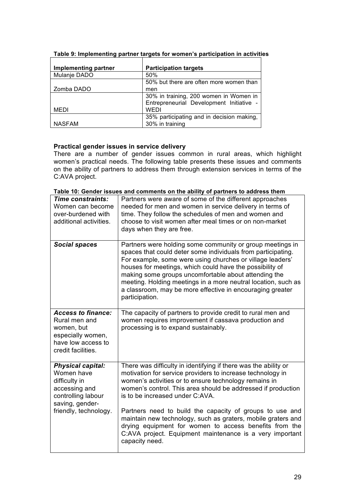| Implementing partner | <b>Participation targets</b>              |
|----------------------|-------------------------------------------|
| Mulanje DADO         | 50%                                       |
|                      | 50% but there are often more women than   |
| Zomba DADO           | men                                       |
|                      | 30% in training, 200 women in Women in    |
|                      | Entrepreneurial Development Initiative -  |
| MEDI                 | <b>WEDI</b>                               |
|                      | 35% participating and in decision making, |
| <b>NASFAM</b>        | 30% in training                           |

#### **Table 9: Implementing partner targets for women's participation in activities**

#### **Practical gender issues in service delivery**

There are a number of gender issues common in rural areas, which highlight women's practical needs. The following table presents these issues and comments on the ability of partners to address them through extension services in terms of the C:AVA project.

| <b>Time constraints:</b><br>Women can become<br>over-burdened with<br>additional activities.                              | Partners were aware of some of the different approaches<br>needed for men and women in service delivery in terms of<br>time. They follow the schedules of men and women and<br>choose to visit women after meal times or on non-market<br>days when they are free.                                                                                                                                                                                         |
|---------------------------------------------------------------------------------------------------------------------------|------------------------------------------------------------------------------------------------------------------------------------------------------------------------------------------------------------------------------------------------------------------------------------------------------------------------------------------------------------------------------------------------------------------------------------------------------------|
| <b>Social spaces</b>                                                                                                      | Partners were holding some community or group meetings in<br>spaces that could deter some individuals from participating.<br>For example, some were using churches or village leaders'<br>houses for meetings, which could have the possibility of<br>making some groups uncomfortable about attending the<br>meeting. Holding meetings in a more neutral location, such as<br>a classroom, may be more effective in encouraging greater<br>participation. |
| <b>Access to finance:</b><br>Rural men and<br>women, but<br>especially women,<br>have low access to<br>credit facilities. | The capacity of partners to provide credit to rural men and<br>women requires improvement if cassava production and<br>processing is to expand sustainably.                                                                                                                                                                                                                                                                                                |
| <b>Physical capital:</b><br>Women have<br>difficulty in<br>accessing and<br>controlling labour<br>saving, gender-         | There was difficulty in identifying if there was the ability or<br>motivation for service providers to increase technology in<br>women's activities or to ensure technology remains in<br>women's control. This area should be addressed if production<br>is to be increased under C:AVA.                                                                                                                                                                  |
| friendly, technology.                                                                                                     | Partners need to build the capacity of groups to use and<br>maintain new technology, such as graters, mobile graters and<br>drying equipment for women to access benefits from the<br>C:AVA project. Equipment maintenance is a very important<br>capacity need.                                                                                                                                                                                           |

**Table 10: Gender issues and comments on the ability of partners to address them**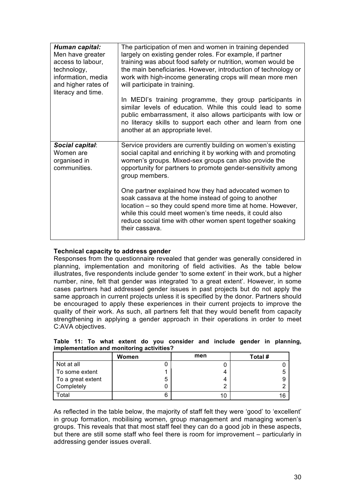| Human capital:<br>Men have greater<br>access to labour,<br>technology,<br>information, media<br>and higher rates of<br>literacy and time. | The participation of men and women in training depended<br>largely on existing gender roles. For example, if partner<br>training was about food safety or nutrition, women would be<br>the main beneficiaries. However, introduction of technology or<br>work with high-income generating crops will mean more men<br>will participate in training.<br>In MEDI's training programme, they group participants in<br>similar levels of education. While this could lead to some<br>public embarrassment, it also allows participants with low or<br>no literacy skills to support each other and learn from one<br>another at an appropriate level. |
|-------------------------------------------------------------------------------------------------------------------------------------------|---------------------------------------------------------------------------------------------------------------------------------------------------------------------------------------------------------------------------------------------------------------------------------------------------------------------------------------------------------------------------------------------------------------------------------------------------------------------------------------------------------------------------------------------------------------------------------------------------------------------------------------------------|
| Social capital:<br>Women are<br>organised in<br>communities.                                                                              | Service providers are currently building on women's existing<br>social capital and enriching it by working with and promoting<br>women's groups. Mixed-sex groups can also provide the<br>opportunity for partners to promote gender-sensitivity among<br>group members.<br>One partner explained how they had advocated women to<br>soak cassava at the home instead of going to another<br>location - so they could spend more time at home. However,<br>while this could meet women's time needs, it could also<br>reduce social time with other women spent together soaking<br>their cassava.                                                |

#### **Technical capacity to address gender**

Responses from the questionnaire revealed that gender was generally considered in planning, implementation and monitoring of field activities. As the table below illustrates, five respondents include gender 'to some extent' in their work, but a higher number, nine, felt that gender was integrated 'to a great extent'. However, in some cases partners had addressed gender issues in past projects but do not apply the same approach in current projects unless it is specified by the donor. Partners should be encouraged to apply these experiences in their current projects to improve the quality of their work. As such, all partners felt that they would benefit from capacity strengthening in applying a gender approach in their operations in order to meet C:AVA objectives.

|                   | Women | men | Total # |  |  |
|-------------------|-------|-----|---------|--|--|
| Not at all        |       |     |         |  |  |
| To some extent    |       |     |         |  |  |
| To a great extent | b     |     |         |  |  |
| Completely        |       |     |         |  |  |
| Total             |       | 10  | 16      |  |  |

**Table 11: To what extent do you consider and include gender in planning, implementation and monitoring activities?**

As reflected in the table below, the majority of staff felt they were 'good' to 'excellent' in group formation, mobilising women, group management and managing women's groups. This reveals that that most staff feel they can do a good job in these aspects, but there are still some staff who feel there is room for improvement – particularly in addressing gender issues overall.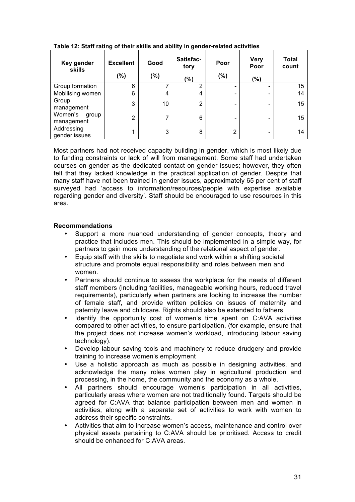| Key gender<br>skills           | <b>Excellent</b><br>(%) | Good<br>(%) | Satisfac-<br>tory<br>$(\% )$ | Poor<br>(%)    | <b>Very</b><br>Poor<br>$(\%)$ | <b>Total</b><br>count |
|--------------------------------|-------------------------|-------------|------------------------------|----------------|-------------------------------|-----------------------|
| Group formation                | 6                       | ⇁           | າ                            |                | $\overline{\phantom{0}}$      | 15                    |
| Mobilising women               | 6                       | 4           | 4                            | -              | -                             | 14                    |
| Group<br>management            | 3                       | 10          | 2                            |                | -                             | 15                    |
| Women's<br>group<br>management | 2                       | 7           | 6                            |                | -                             | 15                    |
| Addressing<br>gender issues    | ◢                       | 3           | 8                            | $\overline{2}$ | $\overline{\phantom{0}}$      | 14                    |

**Table 12: Staff rating of their skills and ability in gender-related activities** 

Most partners had not received capacity building in gender, which is most likely due to funding constraints or lack of will from management. Some staff had undertaken courses on gender as the dedicated contact on gender issues; however, they often felt that they lacked knowledge in the practical application of gender. Despite that many staff have not been trained in gender issues, approximately 65 per cent of staff surveyed had 'access to information/resources/people with expertise available regarding gender and diversity'. Staff should be encouraged to use resources in this area.

#### **Recommendations**

- Support a more nuanced understanding of gender concepts, theory and practice that includes men. This should be implemented in a simple way, for partners to gain more understanding of the relational aspect of gender.
- Equip staff with the skills to negotiate and work within a shifting societal structure and promote equal responsibility and roles between men and women.
- Partners should continue to assess the workplace for the needs of different staff members (including facilities, manageable working hours, reduced travel requirements), particularly when partners are looking to increase the number of female staff, and provide written policies on issues of maternity and paternity leave and childcare. Rights should also be extended to fathers.
- Identify the opportunity cost of women's time spent on C:AVA activities compared to other activities, to ensure participation, (for example, ensure that the project does not increase women's workload, introducing labour saving technology).
- Develop labour saving tools and machinery to reduce drudgery and provide training to increase women's employment
- Use a holistic approach as much as possible in designing activities, and acknowledge the many roles women play in agricultural production and processing, in the home, the community and the economy as a whole.
- All partners should encourage women's participation in all activities, particularly areas where women are not traditionally found. Targets should be agreed for C:AVA that balance participation between men and women in activities, along with a separate set of activities to work with women to address their specific constraints.
- Activities that aim to increase women's access, maintenance and control over physical assets pertaining to C:AVA should be prioritised. Access to credit should be enhanced for C:AVA areas.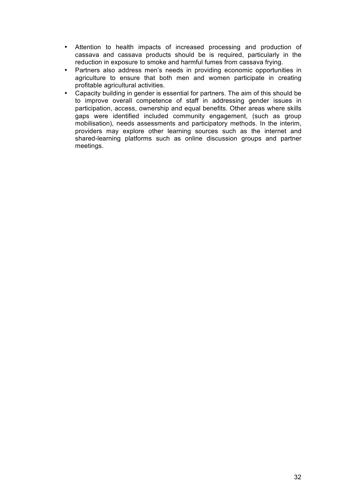- Attention to health impacts of increased processing and production of cassava and cassava products should be is required, particularly in the reduction in exposure to smoke and harmful fumes from cassava frying.
- Partners also address men's needs in providing economic opportunities in agriculture to ensure that both men and women participate in creating profitable agricultural activities.
- Capacity building in gender is essential for partners. The aim of this should be to improve overall competence of staff in addressing gender issues in participation, access, ownership and equal benefits. Other areas where skills gaps were identified included community engagement, (such as group mobilisation), needs assessments and participatory methods. In the interim, providers may explore other learning sources such as the internet and shared-learning platforms such as online discussion groups and partner meetings.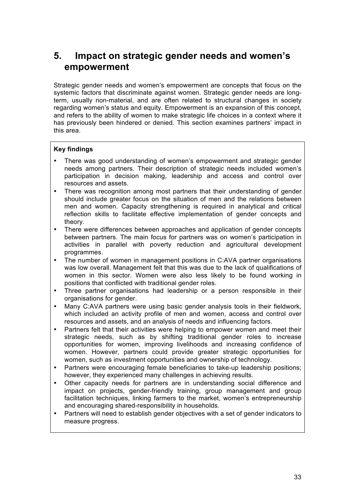## **5. Impact on strategic gender needs and women's empowerment**

Strategic gender needs and women's empowerment are concepts that focus on the systemic factors that discriminate against women. Strategic gender needs are longterm, usually non-material, and are often related to structural changes in society regarding women's status and equity. Empowerment is an expansion of this concept, and refers to the ability of women to make strategic life choices in a context where it has previously been hindered or denied. This section examines partners' impact in this area.

### **Key findings**

- There was good understanding of women's empowerment and strategic gender needs among partners. Their description of strategic needs included women's participation in decision making, leadership and access and control over resources and assets.
- There was recognition among most partners that their understanding of gender should include greater focus on the situation of men and the relations between men and women. Capacity strengthening is required in analytical and critical reflection skills to facilitate effective implementation of gender concepts and theory.
- There were differences between approaches and application of gender concepts between partners. The main focus for partners was on women's participation in activities in parallel with poverty reduction and agricultural development programmes.
- The number of women in management positions in C:AVA partner organisations was low overall. Management felt that this was due to the lack of qualifications of women in this sector. Women were also less likely to be found working in positions that conflicted with traditional gender roles.
- Three partner organisations had leadership or a person responsible in their organisations for gender.
- Many C:AVA partners were using basic gender analysis tools in their fieldwork, which included an activity profile of men and women, access and control over resources and assets, and an analysis of needs and influencing factors.
- Partners felt that their activities were helping to empower women and meet their strategic needs, such as by shifting traditional gender roles to increase opportunities for women, improving livelihoods and increasing confidence of women. However, partners could provide greater strategic opportunities for women, such as investment opportunities and ownership of technology.
- Partners were encouraging female beneficiaries to take-up leadership positions; however, they experienced many challenges in achieving results.
- Other capacity needs for partners are in understanding social difference and impact on projects, gender-friendly training, group management and group facilitation techniques, linking farmers to the market, women's entrepreneurship and encouraging shared-responsibility in households.
- Partners will need to establish gender objectives with a set of gender indicators to measure progress.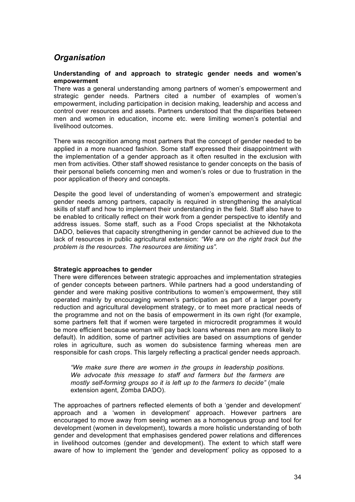## *Organisation*

#### **Understanding of and approach to strategic gender needs and women's empowerment**

There was a general understanding among partners of women's empowerment and strategic gender needs. Partners cited a number of examples of women's empowerment, including participation in decision making, leadership and access and control over resources and assets. Partners understood that the disparities between men and women in education, income etc. were limiting women's potential and livelihood outcomes.

There was recognition among most partners that the concept of gender needed to be applied in a more nuanced fashion. Some staff expressed their disappointment with the implementation of a gender approach as it often resulted in the exclusion with men from activities. Other staff showed resistance to gender concepts on the basis of their personal beliefs concerning men and women's roles or due to frustration in the poor application of theory and concepts.

Despite the good level of understanding of women's empowerment and strategic gender needs among partners, capacity is required in strengthening the analytical skills of staff and how to implement their understanding in the field. Staff also have to be enabled to critically reflect on their work from a gender perspective to identify and address issues. Some staff, such as a Food Crops specialist at the Nkhotakota DADO, believes that capacity strengthening in gender cannot be achieved due to the lack of resources in public agricultural extension: *"We are on the right track but the problem is the resources. The resources are limiting us".*

#### **Strategic approaches to gender**

There were differences between strategic approaches and implementation strategies of gender concepts between partners. While partners had a good understanding of gender and were making positive contributions to women's empowerment, they still operated mainly by encouraging women's participation as part of a larger poverty reduction and agricultural development strategy, or to meet more practical needs of the programme and not on the basis of empowerment in its own right (for example, some partners felt that if women were targeted in microcredit programmes it would be more efficient because woman will pay back loans whereas men are more likely to default). In addition, some of partner activities are based on assumptions of gender roles in agriculture, such as women do subsistence farming whereas men are responsible for cash crops. This largely reflecting a practical gender needs approach.

*"We make sure there are women in the groups in leadership positions. We advocate this message to staff and farmers but the farmers are mostly self-forming groups so it is left up to the farmers to decide"* (male extension agent, Zomba DADO).

The approaches of partners reflected elements of both a 'gender and development' approach and a 'women in development' approach. However partners are encouraged to move away from seeing women as a homogenous group and tool for development (women in development), towards a more holistic understanding of both gender and development that emphasises gendered power relations and differences in livelihood outcomes (gender and development). The extent to which staff were aware of how to implement the 'gender and development' policy as opposed to a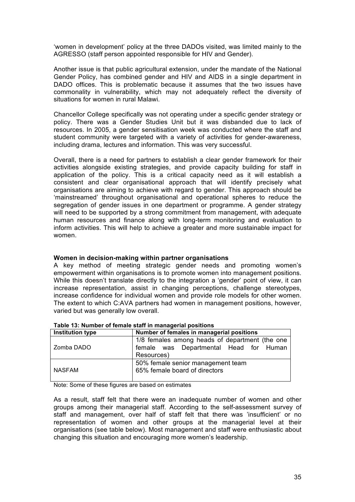'women in development' policy at the three DADOs visited, was limited mainly to the AGRESSO (staff person appointed responsible for HIV and Gender).

Another issue is that public agricultural extension, under the mandate of the National Gender Policy, has combined gender and HIV and AIDS in a single department in DADO offices. This is problematic because it assumes that the two issues have commonality in vulnerability, which may not adequately reflect the diversity of situations for women in rural Malawi.

Chancellor College specifically was not operating under a specific gender strategy or policy. There was a Gender Studies Unit but it was disbanded due to lack of resources. In 2005, a gender sensitisation week was conducted where the staff and student community were targeted with a variety of activities for gender-awareness, including drama, lectures and information. This was very successful.

Overall, there is a need for partners to establish a clear gender framework for their activities alongside existing strategies, and provide capacity building for staff in application of the policy. This is a critical capacity need as it will establish a consistent and clear organisational approach that will identify precisely what organisations are aiming to achieve with regard to gender. This approach should be 'mainstreamed' throughout organisational and operational spheres to reduce the segregation of gender issues in one department or programme. A gender strategy will need to be supported by a strong commitment from management, with adequate human resources and finance along with long-term monitoring and evaluation to inform activities. This will help to achieve a greater and more sustainable impact for women.

#### **Women in decision-making within partner organisations**

A key method of meeting strategic gender needs and promoting women's empowerment within organisations is to promote women into management positions. While this doesn't translate directly to the integration a 'gender' point of view, it can increase representation, assist in changing perceptions, challenge stereotypes, increase confidence for individual women and provide role models for other women. The extent to which C:AVA partners had women in management positions, however, varied but was generally low overall.

| <b>Institution type</b> | Number of females in managerial positions                                                              |  |  |  |
|-------------------------|--------------------------------------------------------------------------------------------------------|--|--|--|
| Zomba DADO              | 1/8 females among heads of department (the one<br>female was Departmental Head for Human<br>Resources) |  |  |  |
| <b>NASFAM</b>           | 50% female senior management team<br>65% female board of directors                                     |  |  |  |

**Table 13: Number of female staff in managerial positions**

Note: Some of these figures are based on estimates

As a result, staff felt that there were an inadequate number of women and other groups among their managerial staff. According to the self-assessment survey of staff and management, over half of staff felt that there was 'insufficient' or no representation of women and other groups at the managerial level at their organisations (see table below). Most management and staff were enthusiastic about changing this situation and encouraging more women's leadership.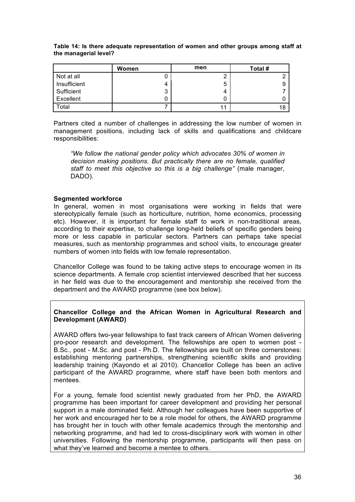**Table 14: Is there adequate representation of women and other groups among staff at the managerial level?**

|              | Women  | men | Total # |
|--------------|--------|-----|---------|
| Not at all   |        |     |         |
| Insufficient | 4      | 5   |         |
| Sufficient   | ◠<br>ີ | Δ   |         |
| Excellent    |        |     |         |
| Total        |        | 11  |         |

Partners cited a number of challenges in addressing the low number of women in management positions, including lack of skills and qualifications and childcare responsibilities:

*"We follow the national gender policy which advocates 30% of women in decision making positions. But practically there are no female, qualified staff to meet this objective so this is a big challenge"* (male manager, DADO).

#### **Segmented workforce**

In general, women in most organisations were working in fields that were stereotypically female (such as horticulture, nutrition, home economics, processing etc). However, it is important for female staff to work in non-traditional areas, according to their expertise, to challenge long-held beliefs of specific genders being more or less capable in particular sectors. Partners can perhaps take special measures, such as mentorship programmes and school visits, to encourage greater numbers of women into fields with low female representation.

Chancellor College was found to be taking active steps to encourage women in its science departments. A female crop scientist interviewed described that her success in her field was due to the encouragement and mentorship she received from the department and the AWARD programme (see box below).

#### **Chancellor College and the African Women in Agricultural Research and Development (AWARD)**

AWARD offers two-year fellowships to fast track careers of African Women delivering pro-poor research and development. The fellowships are open to women post - B.Sc., post - M.Sc. and post - Ph.D. The fellowships are built on three cornerstones: establishing mentoring partnerships, strengthening scientific skills and providing leadership training (Kayondo et al 2010). Chancellor College has been an active participant of the AWARD programme, where staff have been both mentors and mentees.

For a young, female food scientist newly graduated from her PhD, the AWARD programme has been important for career development and providing her personal support in a male dominated field. Although her colleagues have been supportive of her work and encouraged her to be a role model for others, the AWARD programme has brought her in touch with other female academics through the mentorship and networking programme, and had led to cross-disciplinary work with women in other universities. Following the mentorship programme, participants will then pass on what they've learned and become a mentee to others.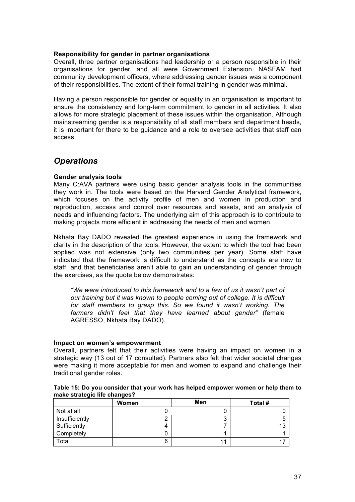#### **Responsibility for gender in partner organisations**

Overall, three partner organisations had leadership or a person responsible in their organisations for gender, and all were Government Extension. NASFAM had community development officers, where addressing gender issues was a component of their responsibilities. The extent of their formal training in gender was minimal.

Having a person responsible for gender or equality in an organisation is important to ensure the consistency and long-term commitment to gender in all activities. It also allows for more strategic placement of these issues within the organisation. Although mainstreaming gender is a responsibility of all staff members and department heads, it is important for there to be guidance and a role to oversee activities that staff can access.

### *Operations*

#### **Gender analysis tools**

Many C:AVA partners were using basic gender analysis tools in the communities they work in. The tools were based on the Harvard Gender Analytical framework, which focuses on the activity profile of men and women in production and reproduction, access and control over resources and assets, and an analysis of needs and influencing factors. The underlying aim of this approach is to contribute to making projects more efficient in addressing the needs of men and women.

Nkhata Bay DADO revealed the greatest experience in using the framework and clarity in the description of the tools. However, the extent to which the tool had been applied was not extensive (only two communities per year). Some staff have indicated that the framework is difficult to understand as the concepts are new to staff, and that beneficiaries aren't able to gain an understanding of gender through the exercises, as the quote below demonstrates:

"We were introduced to this framework and to a few of us it wasn't part of *our training but it was known to people coming out of college. It is difficult for staff members to grasp this. So we found it wasn't working. The farmers didn't feel that they have learned about gender"* (female AGRESSO, Nkhata Bay DADO).

#### **Impact on women's empowerment**

Overall, partners felt that their activities were having an impact on women in a strategic way (13 out of 17 consulted). Partners also felt that wider societal changes were making it more acceptable for men and women to expand and challenge their traditional gender roles.

| Table 15: Do you consider that your work has helped empower women or help them to |  |  |
|-----------------------------------------------------------------------------------|--|--|
| make strategic life changes?                                                      |  |  |

|                | Women | Men    | Total # |
|----------------|-------|--------|---------|
| Not at all     |       |        |         |
| Insufficiently |       | າ<br>J |         |
| Sufficiently   | 4     |        | 13      |
| Completely     |       |        |         |
| Total          | 6     |        |         |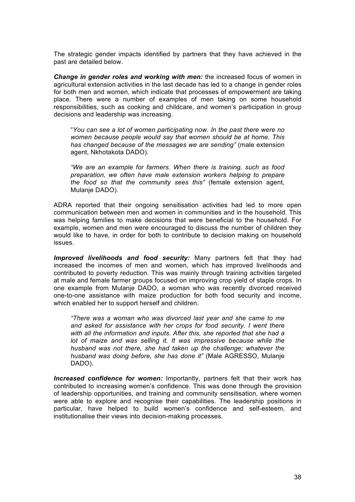The strategic gender impacts identified by partners that they have achieved in the past are detailed below.

*Change in gender roles and working with men:* the increased focus of women in agricultural extension activities in the last decade has led to a change in gender roles for both men and women, which indicate that processes of empowerment are taking place. There were a number of examples of men taking on some household responsibilities, such as cooking and childcare, and women's participation in group decisions and leadership was increasing.

"*You can see a lot of women participating now. In the past there were no women because people would say that women should be at home. This has changed because of the messages we are sending"* (male extension agent, Nkhotakota DADO).

*"We are an example for farmers. When there is training, such as food preparation, we often have male extension workers helping to prepare the food so that the community sees this"* (female extension agent, Mulanje DADO).

ADRA reported that their ongoing sensitisation activities had led to more open communication between men and women in communities and in the household. This was helping families to make decisions that were beneficial to the household. For example, women and men were encouraged to discuss the number of children they would like to have, in order for both to contribute to decision making on household issues.

*Improved livelihoods and food security:* Many partners felt that they had increased the incomes of men and women, which has improved livelihoods and contributed to poverty reduction. This was mainly through training activities targeted at male and female farmer groups focused on improving crop yield of staple crops. In one example from Mulanje DADO, a woman who was recently divorced received one-to-one assistance with maize production for both food security and income, which enabled her to support herself and children.

*"There was a woman who was divorced last year and she came to me and asked for assistance with her crops for food security. I went there with all the information and inputs. After this, she reported that she had a lot of maize and was selling it. It was impressive because while the husband was not there, she had taken up the challenge; whatever the husband was doing before, she has done it"* (Male AGRESSO, Mulanje DADO).

*Increased confidence for women:* Importantly, partners felt that their work has contributed to increasing women's confidence. This was done through the provision of leadership opportunities, and training and community sensitisation, where women were able to explore and recognise their capabilities. The leadership positions in particular, have helped to build women's confidence and self-esteem, and institutionalise their views into decision-making processes.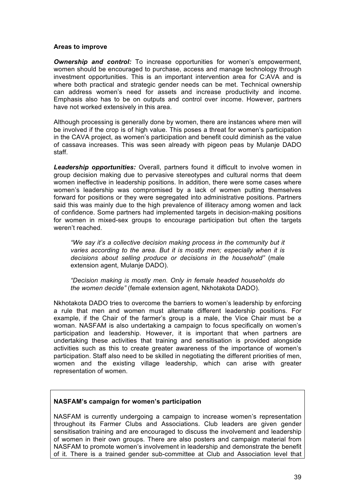#### **Areas to improve**

*Ownership and control:* To increase opportunities for women's empowerment, women should be encouraged to purchase, access and manage technology through investment opportunities. This is an important intervention area for C:AVA and is where both practical and strategic gender needs can be met. Technical ownership can address women's need for assets and increase productivity and income. Emphasis also has to be on outputs and control over income. However, partners have not worked extensively in this area.

Although processing is generally done by women, there are instances where men will be involved if the crop is of high value. This poses a threat for women's participation in the CAVA project, as women's participation and benefit could diminish as the value of cassava increases. This was seen already with pigeon peas by Mulanje DADO staff.

*Leadership opportunities:* Overall, partners found it difficult to involve women in group decision making due to pervasive stereotypes and cultural norms that deem women ineffective in leadership positions. In addition, there were some cases where women's leadership was compromised by a lack of women putting themselves forward for positions or they were segregated into administrative positions. Partners said this was mainly due to the high prevalence of illiteracy among women and lack of confidence. Some partners had implemented targets in decision-making positions for women in mixed-sex groups to encourage participation but often the targets weren't reached.

*"We say it's a collective decision making process in the community but it varies according to the area. But it is mostly men; especially when it is decisions about selling produce or decisions in the household"* (male extension agent, Mulanje DADO).

*"Decision making is mostly men. Only in female headed households do the women decide"* (female extension agent, Nkhotakota DADO).

Nkhotakota DADO tries to overcome the barriers to women's leadership by enforcing a rule that men and women must alternate different leadership positions. For example, if the Chair of the farmer's group is a male, the Vice Chair must be a woman. NASFAM is also undertaking a campaign to focus specifically on women's participation and leadership. However, it is important that when partners are undertaking these activities that training and sensitisation is provided alongside activities such as this to create greater awareness of the importance of women's participation. Staff also need to be skilled in negotiating the different priorities of men, women and the existing village leadership, which can arise with greater representation of women.

#### **NASFAM's campaign for women's participation**

NASFAM is currently undergoing a campaign to increase women's representation throughout its Farmer Clubs and Associations. Club leaders are given gender sensitisation training and are encouraged to discuss the involvement and leadership of women in their own groups. There are also posters and campaign material from NASFAM to promote women's involvement in leadership and demonstrate the benefit of it. There is a trained gender sub-committee at Club and Association level that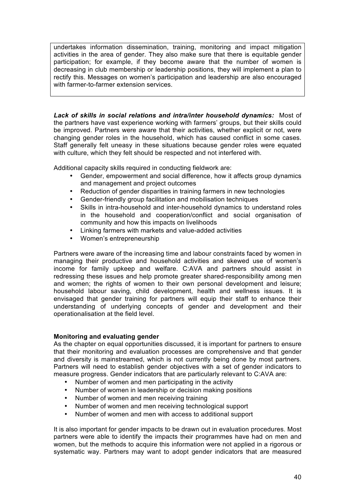undertakes information dissemination, training, monitoring and impact mitigation activities in the area of gender. They also make sure that there is equitable gender participation; for example, if they become aware that the number of women is decreasing in club membership or leadership positions, they will implement a plan to rectify this. Messages on women's participation and leadership are also encouraged with farmer-to-farmer extension services.

*Lack of skills in social relations and intra/inter household dynamics:*Most of the partners have vast experience working with farmers' groups, but their skills could be improved. Partners were aware that their activities, whether explicit or not, were changing gender roles in the household, which has caused conflict in some cases. Staff generally felt uneasy in these situations because gender roles were equated with culture, which they felt should be respected and not interfered with.

Additional capacity skills required in conducting fieldwork are:

- Gender, empowerment and social difference, how it affects group dynamics and management and project outcomes
- Reduction of gender disparities in training farmers in new technologies
- Gender-friendly group facilitation and mobilisation techniques
- Skills in intra-household and inter-household dynamics to understand roles in the household and cooperation/conflict and social organisation of community and how this impacts on livelihoods
- Linking farmers with markets and value-added activities
- Women's entrepreneurship

Partners were aware of the increasing time and labour constraints faced by women in managing their productive and household activities and skewed use of women's income for family upkeep and welfare. C:AVA and partners should assist in redressing these issues and help promote greater shared-responsibility among men and women; the rights of women to their own personal development and leisure; household labour saving, child development, health and wellness issues. It is envisaged that gender training for partners will equip their staff to enhance their understanding of underlying concepts of gender and development and their operationalisation at the field level.

#### **Monitoring and evaluating gender**

As the chapter on equal opportunities discussed, it is important for partners to ensure that their monitoring and evaluation processes are comprehensive and that gender and diversity is mainstreamed, which is not currently being done by most partners. Partners will need to establish gender objectives with a set of gender indicators to measure progress. Gender indicators that are particularly relevant to C:AVA are:

- Number of women and men participating in the activity
- Number of women in leadership or decision making positions
- Number of women and men receiving training
- Number of women and men receiving technological support
- Number of women and men with access to additional support

It is also important for gender impacts to be drawn out in evaluation procedures. Most partners were able to identify the impacts their programmes have had on men and women, but the methods to acquire this information were not applied in a rigorous or systematic way. Partners may want to adopt gender indicators that are measured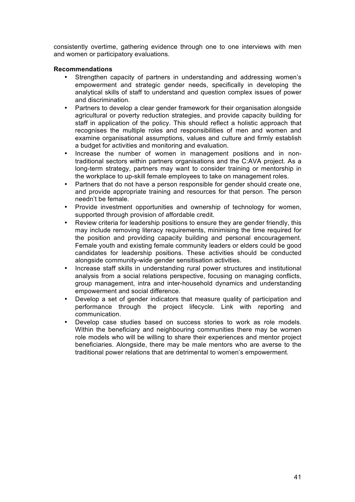consistently overtime, gathering evidence through one to one interviews with men and women or participatory evaluations.

#### **Recommendations**

- Strengthen capacity of partners in understanding and addressing women's empowerment and strategic gender needs, specifically in developing the analytical skills of staff to understand and question complex issues of power and discrimination.
- Partners to develop a clear gender framework for their organisation alongside agricultural or poverty reduction strategies, and provide capacity building for staff in application of the policy. This should reflect a holistic approach that recognises the multiple roles and responsibilities of men and women and examine organisational assumptions, values and culture and firmly establish a budget for activities and monitoring and evaluation.
- Increase the number of women in management positions and in nontraditional sectors within partners organisations and the C:AVA project. As a long-term strategy, partners may want to consider training or mentorship in the workplace to up-skill female employees to take on management roles.
- Partners that do not have a person responsible for gender should create one, and provide appropriate training and resources for that person. The person needn't be female.
- Provide investment opportunities and ownership of technology for women, supported through provision of affordable credit.
- Review criteria for leadership positions to ensure they are gender friendly, this may include removing literacy requirements, minimising the time required for the position and providing capacity building and personal encouragement. Female youth and existing female community leaders or elders could be good candidates for leadership positions. These activities should be conducted alongside community-wide gender sensitisation activities.
- Increase staff skills in understanding rural power structures and institutional analysis from a social relations perspective, focusing on managing conflicts, group management, intra and inter-household dynamics and understanding empowerment and social difference.
- Develop a set of gender indicators that measure quality of participation and performance through the project lifecycle. Link with reporting and communication.
- Develop case studies based on success stories to work as role models. Within the beneficiary and neighbouring communities there may be women role models who will be willing to share their experiences and mentor project beneficiaries. Alongside, there may be male mentors who are averse to the traditional power relations that are detrimental to women's empowerment.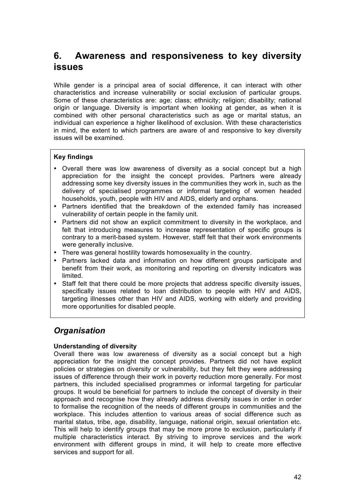## **6. Awareness and responsiveness to key diversity issues**

While gender is a principal area of social difference, it can interact with other characteristics and increase vulnerability or social exclusion of particular groups. Some of these characteristics are: age; class; ethnicity; religion; disability; national origin or language. Diversity is important when looking at gender, as when it is combined with other personal characteristics such as age or marital status, an individual can experience a higher likelihood of exclusion. With these characteristics in mind, the extent to which partners are aware of and responsive to key diversity issues will be examined.

#### **Key findings**

- Overall there was low awareness of diversity as a social concept but a high appreciation for the insight the concept provides. Partners were already addressing some key diversity issues in the communities they work in, such as the delivery of specialised programmes or informal targeting of women headed households, youth, people with HIV and AIDS, elderly and orphans.
- Partners identified that the breakdown of the extended family has increased vulnerability of certain people in the family unit.
- Partners did not show an explicit commitment to diversity in the workplace, and felt that introducing measures to increase representation of specific groups is contrary to a merit-based system. However, staff felt that their work environments were generally inclusive.
- There was general hostility towards homosexuality in the country.
- Partners lacked data and information on how different groups participate and benefit from their work, as monitoring and reporting on diversity indicators was limited.
- Staff felt that there could be more projects that address specific diversity issues, specifically issues related to loan distribution to people with HIV and AIDS, targeting illnesses other than HIV and AIDS, working with elderly and providing more opportunities for disabled people.

## *Organisation*

#### **Understanding of diversity**

Overall there was low awareness of diversity as a social concept but a high appreciation for the insight the concept provides. Partners did not have explicit policies or strategies on diversity or vulnerability, but they felt they were addressing issues of difference through their work in poverty reduction more generally. For most partners, this included specialised programmes or informal targeting for particular groups. It would be beneficial for partners to include the concept of diversity in their approach and recognise how they already address diversity issues in order in order to formalise the recognition of the needs of different groups in communities and the workplace. This includes attention to various areas of social difference such as marital status, tribe, age, disability, language, national origin, sexual orientation etc. This will help to identify groups that may be more prone to exclusion, particularly if multiple characteristics interact. By striving to improve services and the work environment with different groups in mind, it will help to create more effective services and support for all.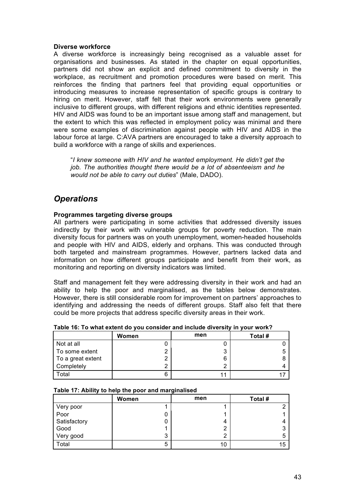#### **Diverse workforce**

A diverse workforce is increasingly being recognised as a valuable asset for organisations and businesses. As stated in the chapter on equal opportunities, partners did not show an explicit and defined commitment to diversity in the workplace, as recruitment and promotion procedures were based on merit. This reinforces the finding that partners feel that providing equal opportunities or introducing measures to increase representation of specific groups is contrary to hiring on merit. However, staff felt that their work environments were generally inclusive to different groups, with different religions and ethnic identities represented. HIV and AIDS was found to be an important issue among staff and management, but the extent to which this was reflected in employment policy was minimal and there were some examples of discrimination against people with HIV and AIDS in the labour force at large. C:AVA partners are encouraged to take a diversity approach to build a workforce with a range of skills and experiences.

"*I knew someone with HIV and he wanted employment. He didn't get the job. The authorities thought there would be a lot of absenteeism and he would not be able to carry out duties*" (Male, DADO).

## *Operations*

#### **Programmes targeting diverse groups**

All partners were participating in some activities that addressed diversity issues indirectly by their work with vulnerable groups for poverty reduction. The main diversity focus for partners was on youth unemployment, women-headed households and people with HIV and AIDS, elderly and orphans. This was conducted through both targeted and mainstream programmes. However, partners lacked data and information on how different groups participate and benefit from their work, as monitoring and reporting on diversity indicators was limited.

Staff and management felt they were addressing diversity in their work and had an ability to help the poor and marginalised, as the tables below demonstrates. However, there is still considerable room for improvement on partners' approaches to identifying and addressing the needs of different groups. Staff also felt that there could be more projects that address specific diversity areas in their work.

|                   | Women | men | Total # |
|-------------------|-------|-----|---------|
| Not at all        |       |     |         |
| To some extent    |       | ິ   |         |
| To a great extent |       | 6   |         |
| Completely        |       |     |         |
| Total             |       |     |         |

#### **Table 16: To what extent do you consider and include diversity in your work?**

|  |  |  | Table 17: Ability to help the poor and marginalised |
|--|--|--|-----------------------------------------------------|
|--|--|--|-----------------------------------------------------|

|              | Women | men | Total # |
|--------------|-------|-----|---------|
| Very poor    |       |     |         |
| Poor         |       |     |         |
| Satisfactory |       | 4   |         |
| Good         |       | ົ   |         |
| Very good    | 3     | າ   | b       |
| Total        | 5     | 10  | 15      |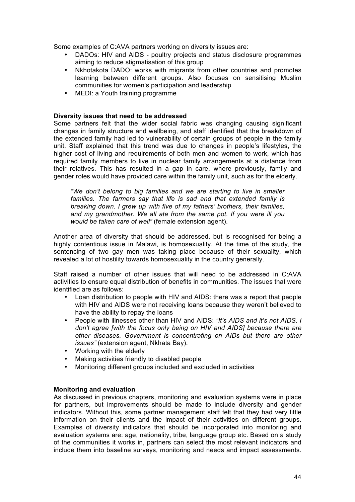Some examples of C:AVA partners working on diversity issues are:

- DADOs: HIV and AIDS poultry projects and status disclosure programmes aiming to reduce stigmatisation of this group
- Nkhotakota DADO: works with migrants from other countries and promotes learning between different groups. Also focuses on sensitising Muslim communities for women's participation and leadership
- MEDI: a Youth training programme

#### **Diversity issues that need to be addressed**

Some partners felt that the wider social fabric was changing causing significant changes in family structure and wellbeing, and staff identified that the breakdown of the extended family had led to vulnerability of certain groups of people in the family unit. Staff explained that this trend was due to changes in people's lifestyles, the higher cost of living and requirements of both men and women to work, which has required family members to live in nuclear family arrangements at a distance from their relatives. This has resulted in a gap in care, where previously, family and gender roles would have provided care within the family unit, such as for the elderly.

*"We don't belong to big families and we are starting to live in smaller families. The farmers say that life is sad and that extended family is breaking down. I grew up with five of my fathers' brothers, their families, and my grandmother. We all ate from the same pot. If you were ill you would be taken care of well"* (female extension agent).

Another area of diversity that should be addressed, but is recognised for being a highly contentious issue in Malawi, is homosexuality. At the time of the study, the sentencing of two gay men was taking place because of their sexuality, which revealed a lot of hostility towards homosexuality in the country generally.

Staff raised a number of other issues that will need to be addressed in C:AVA activities to ensure equal distribution of benefits in communities. The issues that were identified are as follows:

- Loan distribution to people with HIV and AIDS: there was a report that people with HIV and AIDS were not receiving loans because they weren't believed to have the ability to repay the loans
- People with illnesses other than HIV and AIDS: *"It's AIDS and it's not AIDS. I don't agree [with the focus only being on HIV and AIDS] because there are other diseases. Government is concentrating on AIDs but there are other issues"* (extension agent, Nkhata Bay).
- Working with the elderly
- Making activities friendly to disabled people
- Monitoring different groups included and excluded in activities

#### **Monitoring and evaluation**

As discussed in previous chapters, monitoring and evaluation systems were in place for partners, but improvements should be made to include diversity and gender indicators. Without this, some partner management staff felt that they had very little information on their clients and the impact of their activities on different groups. Examples of diversity indicators that should be incorporated into monitoring and evaluation systems are: age, nationality, tribe, language group etc. Based on a study of the communities it works in, partners can select the most relevant indicators and include them into baseline surveys, monitoring and needs and impact assessments.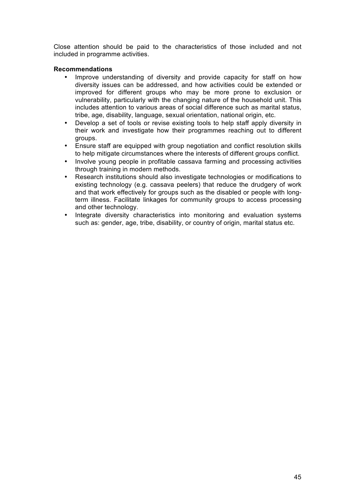Close attention should be paid to the characteristics of those included and not included in programme activities.

#### **Recommendations**

- Improve understanding of diversity and provide capacity for staff on how diversity issues can be addressed, and how activities could be extended or improved for different groups who may be more prone to exclusion or vulnerability, particularly with the changing nature of the household unit. This includes attention to various areas of social difference such as marital status, tribe, age, disability, language, sexual orientation, national origin, etc.
- Develop a set of tools or revise existing tools to help staff apply diversity in their work and investigate how their programmes reaching out to different groups.
- Ensure staff are equipped with group negotiation and conflict resolution skills to help mitigate circumstances where the interests of different groups conflict.
- Involve young people in profitable cassava farming and processing activities through training in modern methods.
- Research institutions should also investigate technologies or modifications to existing technology (e.g. cassava peelers) that reduce the drudgery of work and that work effectively for groups such as the disabled or people with longterm illness. Facilitate linkages for community groups to access processing and other technology.
- Integrate diversity characteristics into monitoring and evaluation systems such as: gender, age, tribe, disability, or country of origin, marital status etc.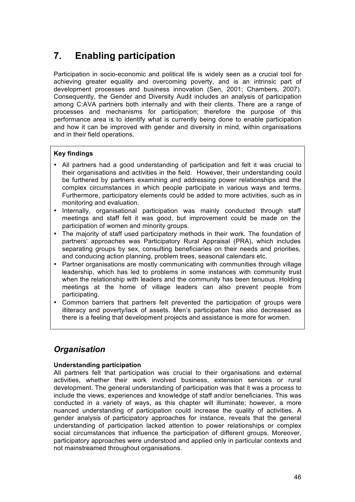## **7. Enabling participation**

Participation in socio-economic and political life is widely seen as a crucial tool for achieving greater equality and overcoming poverty, and is an intrinsic part of development processes and business innovation (Sen, 2001; Chambers, 2007). Consequently, the Gender and Diversity Audit includes an analysis of participation among C:AVA partners both internally and with their clients. There are a range of processes and mechanisms for participation; therefore the purpose of this performance area is to identify what is currently being done to enable participation and how it can be improved with gender and diversity in mind, within organisations and in their field operations.

#### **Key findings**

- All partners had a good understanding of participation and felt it was crucial to their organisations and activities in the field. However, their understanding could be furthered by partners examining and addressing power relationships and the complex circumstances in which people participate in various ways and terms. Furthermore, participatory elements could be added to more activities, such as in monitoring and evaluation.
- Internally, organisational participation was mainly conducted through staff meetings and staff felt it was good, but improvement could be made on the participation of women and minority groups.
- The majority of staff used participatory methods in their work. The foundation of partners' approaches was Participatory Rural Appraisal (PRA), which includes separating groups by sex, consulting beneficiaries on their needs and priorities, and conducing action planning, problem trees, seasonal calendars etc.
- Partner organisations are mostly communicating with communities through village leadership, which has led to problems in some instances with community trust when the relationship with leaders and the community has been tenuous. Holding meetings at the home of village leaders can also prevent people from participating.
- Common barriers that partners felt prevented the participation of groups were illiteracy and poverty/lack of assets. Men's participation has also decreased as there is a feeling that development projects and assistance is more for women.

## *Organisation*

#### **Understanding participation**

All partners felt that participation was crucial to their organisations and external activities, whether their work involved business, extension services or rural development. The general understanding of participation was that it was a process to include the views, experiences and knowledge of staff and/or beneficiaries. This was conducted in a variety of ways, as this chapter will illuminate; however, a more nuanced understanding of participation could increase the quality of activities. A gender analysis of participatory approaches for instance, reveals that the general understanding of participation lacked attention to power relationships or complex social circumstances that influence the participation of different groups. Moreover, participatory approaches were understood and applied only in particular contexts and not mainstreamed throughout organisations.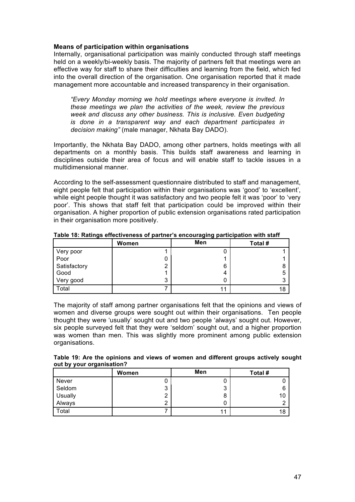#### **Means of participation within organisations**

Internally, organisational participation was mainly conducted through staff meetings held on a weekly/bi-weekly basis. The majority of partners felt that meetings were an effective way for staff to share their difficulties and learning from the field, which fed into the overall direction of the organisation. One organisation reported that it made management more accountable and increased transparency in their organisation.

*"Every Monday morning we hold meetings where everyone is invited. In these meetings we plan the activities of the week, review the previous week and discuss any other business. This is inclusive. Even budgeting is done in a transparent way and each department participates in decision making"* (male manager, Nkhata Bay DADO).

Importantly, the Nkhata Bay DADO, among other partners, holds meetings with all departments on a monthly basis. This builds staff awareness and learning in disciplines outside their area of focus and will enable staff to tackle issues in a multidimensional manner.

According to the self-assessment questionnaire distributed to staff and management, eight people felt that participation within their organisations was 'good' to 'excellent', while eight people thought it was satisfactory and two people felt it was 'poor' to 'very poor'. This shows that staff felt that participation could be improved within their organisation. A higher proportion of public extension organisations rated participation in their organisation more positively.

|              | Women | Men | Total # |
|--------------|-------|-----|---------|
| Very poor    |       | U   |         |
| Poor         |       |     |         |
| Satisfactory |       | 6   | 8       |
| Good         |       | 4   | 5       |
| Very good    | 3     | 0   | ົ<br>s. |
| Total        |       | 11  | 18      |

**Table 18: Ratings effectiveness of partner's encouraging participation with staff**

The majority of staff among partner organisations felt that the opinions and views of women and diverse groups were sought out within their organisations. Ten people thought they were 'usually' sought out and two people 'always' sought out. However, six people surveyed felt that they were 'seldom' sought out, and a higher proportion was women than men. This was slightly more prominent among public extension organisations.

**Table 19: Are the opinions and views of women and different groups actively sought out by your organisation?** 

|         | Women         | Men | Total # |
|---------|---------------|-----|---------|
| Never   | U             | ⊾   |         |
| Seldom  | ິ<br>J        | 3   |         |
| Usually | ົ<br><u>.</u> | 8   | 10      |
| Always  | ົ<br>∸        |     |         |
| Total   |               | 11  | 18      |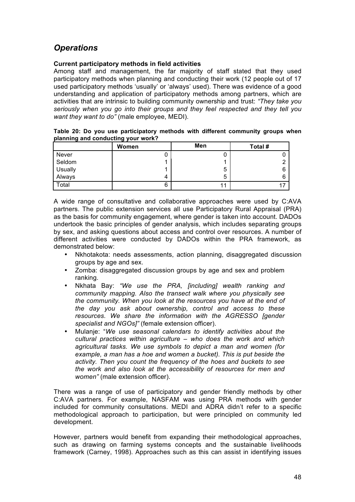## *Operations*

#### **Current participatory methods in field activities**

Among staff and management, the far majority of staff stated that they used participatory methods when planning and conducting their work (12 people out of 17 used participatory methods 'usually' or 'always' used). There was evidence of a good understanding and application of participatory methods among partners, which are activities that are intrinsic to building community ownership and trust: *"They take you seriously when you go into their groups and they feel respected and they tell you want they want to do"* (male employee, MEDI).

| Table 20: Do you use participatory methods with different community groups when |  |  |  |  |
|---------------------------------------------------------------------------------|--|--|--|--|
| planning and conducting your work?                                              |  |  |  |  |
|                                                                                 |  |  |  |  |

|         | Women | Men | Total # |
|---------|-------|-----|---------|
| Never   |       | U   |         |
| Seldom  |       |     |         |
| Usually |       | 5   |         |
| Always  | 4     | 5   |         |
| Total   | 6     | 11  |         |

A wide range of consultative and collaborative approaches were used by C:AVA partners. The public extension services all use Participatory Rural Appraisal (PRA) as the basis for community engagement, where gender is taken into account. DADOs undertook the basic principles of gender analysis, which includes separating groups by sex, and asking questions about access and control over resources. A number of different activities were conducted by DADOs within the PRA framework, as demonstrated below:

- Nkhotakota: needs assessments, action planning, disaggregated discussion groups by age and sex.
- Zomba: disaggregated discussion groups by age and sex and problem ranking.
- Nkhata Bay: *"We use the PRA, [including] wealth ranking and community mapping. Also the transect walk where you physically see the community. When you look at the resources you have at the end of the day you ask about ownership, control and access to these resources. We share the information with the AGRESSO [gender specialist and NGOs]"* (female extension officer).
- Mulanje: "*We use seasonal calendars to identify activities about the cultural practices within agriculture – who does the work and which agricultural tasks. We use symbols to depict a man and women (for example, a man has a hoe and women a bucket). This is put beside the activity. Then you count the frequency of the hoes and buckets to see the work and also look at the accessibility of resources for men and women"* (male extension officer).

There was a range of use of participatory and gender friendly methods by other C:AVA partners. For example, NASFAM was using PRA methods with gender included for community consultations. MEDI and ADRA didn't refer to a specific methodological approach to participation, but were principled on community led development.

However, partners would benefit from expanding their methodological approaches, such as drawing on farming systems concepts and the sustainable livelihoods framework (Carney, 1998). Approaches such as this can assist in identifying issues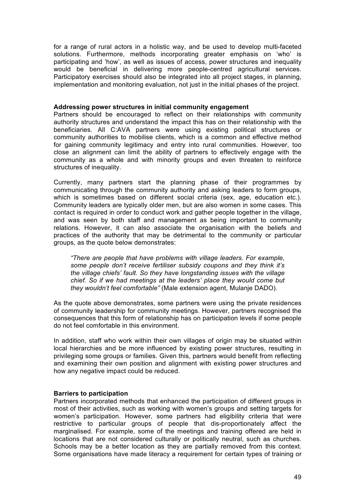for a range of rural actors in a holistic way, and be used to develop multi-faceted solutions. Furthermore, methods incorporating greater emphasis on 'who' is participating and 'how', as well as issues of access, power structures and inequality would be beneficial in delivering more people-centred agricultural services. Participatory exercises should also be integrated into all project stages, in planning, implementation and monitoring evaluation, not just in the initial phases of the project.

#### **Addressing power structures in initial community engagement**

Partners should be encouraged to reflect on their relationships with community authority structures and understand the impact this has on their relationship with the beneficiaries. All C:AVA partners were using existing political structures or community authorities to mobilise clients, which is a common and effective method for gaining community legitimacy and entry into rural communities. However, too close an alignment can limit the ability of partners to effectively engage with the community as a whole and with minority groups and even threaten to reinforce structures of inequality.

Currently, many partners start the planning phase of their programmes by communicating through the community authority and asking leaders to form groups, which is sometimes based on different social criteria (sex, age, education etc.). Community leaders are typically older men, but are also women in some cases. This contact is required in order to conduct work and gather people together in the village, and was seen by both staff and management as being important to community relations. However, it can also associate the organisation with the beliefs and practices of the authority that may be detrimental to the community or particular groups, as the quote below demonstrates:

*"There are people that have problems with village leaders. For example, some people don't receive fertiliser subsidy coupons and they think it's the village chiefs' fault. So they have longstanding issues with the village chief. So if we had meetings at the leaders' place they would come but they wouldn't feel comfortable"* (Male extension agent, Mulanje DADO).

As the quote above demonstrates, some partners were using the private residences of community leadership for community meetings. However, partners recognised the consequences that this form of relationship has on participation levels if some people do not feel comfortable in this environment.

In addition, staff who work within their own villages of origin may be situated within local hierarchies and be more influenced by existing power structures, resulting in privileging some groups or families. Given this, partners would benefit from reflecting and examining their own position and alignment with existing power structures and how any negative impact could be reduced.

#### **Barriers to participation**

Partners incorporated methods that enhanced the participation of different groups in most of their activities, such as working with women's groups and setting targets for women's participation. However, some partners had eligibility criteria that were restrictive to particular groups of people that dis-proportionately affect the marginalised. For example, some of the meetings and training offered are held in locations that are not considered culturally or politically neutral, such as churches. Schools may be a better location as they are partially removed from this context. Some organisations have made literacy a requirement for certain types of training or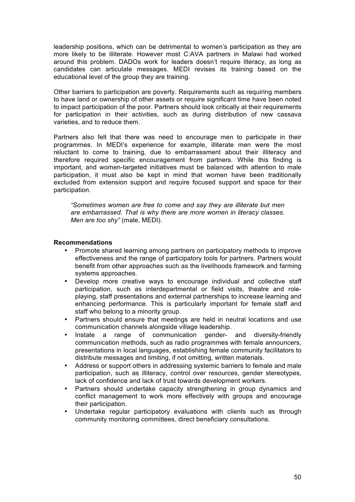leadership positions, which can be detrimental to women's participation as they are more likely to be illiterate. However most C:AVA partners in Malawi had worked around this problem. DADOs work for leaders doesn't require literacy, as long as candidates can articulate messages. MEDI revises its training based on the educational level of the group they are training.

Other barriers to participation are poverty. Requirements such as requiring members to have land or ownership of other assets or require significant time have been noted to impact participation of the poor. Partners should look critically at their requirements for participation in their activities, such as during distribution of new cassava varieties, and to reduce them.

Partners also felt that there was need to encourage men to participate in their programmes. In MEDI's experience for example, illiterate men were the most reluctant to come to training, due to embarrassment about their illiteracy and therefore required specific encouragement from partners. While this finding is important, and women-targeted initiatives must be balanced with attention to male participation, it must also be kept in mind that women have been traditionally excluded from extension support and require focused support and space for their participation.

*"Sometimes women are free to come and say they are illiterate but men are embarrassed. That is why there are more women in literacy classes. Men are too shy"* (male, MEDI).

#### **Recommendations**

- Promote shared learning among partners on participatory methods to improve effectiveness and the range of participatory tools for partners. Partners would benefit from other approaches such as the livelihoods framework and farming systems approaches.
- Develop more creative ways to encourage individual and collective staff participation, such as interdepartmental or field visits, theatre and roleplaying, staff presentations and external partnerships to increase learning and enhancing performance. This is particularly important for female staff and staff who belong to a minority group.
- Partners should ensure that meetings are held in neutral locations and use communication channels alongside village leadership.
- Instate a range of communication gender- and diversity-friendly communication methods, such as radio programmes with female announcers, presentations in local languages, establishing female community facilitators to distribute messages and limiting, if not omitting, written materials.
- Address or support others in addressing systemic barriers to female and male participation, such as illiteracy, control over resources, gender stereotypes, lack of confidence and lack of trust towards development workers.
- Partners should undertake capacity strengthening in group dynamics and conflict management to work more effectively with groups and encourage their participation.
- Undertake regular participatory evaluations with clients such as through community monitoring committees, direct beneficiary consultations.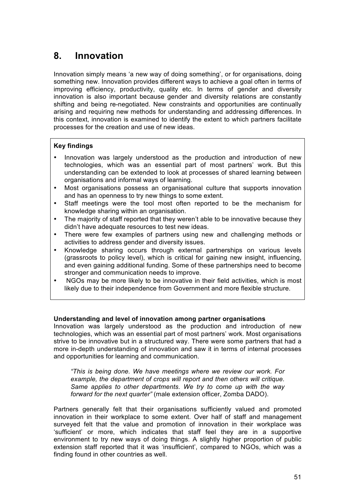## **8. Innovation**

Innovation simply means 'a new way of doing something', or for organisations, doing something new. Innovation provides different ways to achieve a goal often in terms of improving efficiency, productivity, quality etc. In terms of gender and diversity innovation is also important because gender and diversity relations are constantly shifting and being re-negotiated. New constraints and opportunities are continually arising and requiring new methods for understanding and addressing differences. In this context, innovation is examined to identify the extent to which partners facilitate processes for the creation and use of new ideas.

#### **Key findings**

- Innovation was largely understood as the production and introduction of new technologies, which was an essential part of most partners' work. But this understanding can be extended to look at processes of shared learning between organisations and informal ways of learning.
- Most organisations possess an organisational culture that supports innovation and has an openness to try new things to some extent.
- Staff meetings were the tool most often reported to be the mechanism for knowledge sharing within an organisation.
- The majority of staff reported that they weren't able to be innovative because they didn't have adequate resources to test new ideas.
- There were few examples of partners using new and challenging methods or activities to address gender and diversity issues.
- Knowledge sharing occurs through external partnerships on various levels (grassroots to policy level), which is critical for gaining new insight, influencing, and even gaining additional funding. Some of these partnerships need to become stronger and communication needs to improve.
- NGOs may be more likely to be innovative in their field activities, which is most likely due to their independence from Government and more flexible structure.

#### **Understanding and level of innovation among partner organisations**

Innovation was largely understood as the production and introduction of new technologies, which was an essential part of most partners' work. Most organisations strive to be innovative but in a structured way. There were some partners that had a more in-depth understanding of innovation and saw it in terms of internal processes and opportunities for learning and communication.

*"This is being done. We have meetings where we review our work. For example, the department of crops will report and then others will critique. Same applies to other departments. We try to come up with the way forward for the next quarter"* (male extension officer, Zomba DADO).

Partners generally felt that their organisations sufficiently valued and promoted innovation in their workplace to some extent. Over half of staff and management surveyed felt that the value and promotion of innovation in their workplace was 'sufficient' or more, which indicates that staff feel they are in a supportive environment to try new ways of doing things. A slightly higher proportion of public extension staff reported that it was 'insufficient', compared to NGOs, which was a finding found in other countries as well.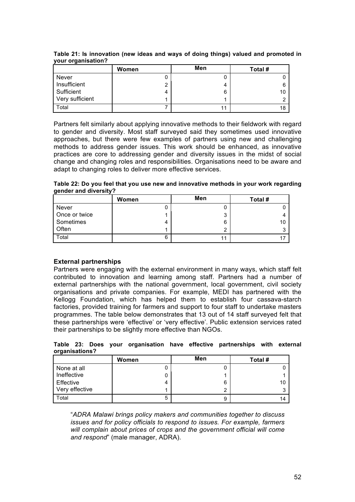|                 | Women | Men | Total # |
|-----------------|-------|-----|---------|
| Never           |       | U   |         |
| Insufficient    | ◠     | 4   | 6       |
| Sufficient      | 4     | 6   | 10      |
| Very sufficient |       | л   | ົ       |
| Total           |       | 11  | 18      |

**Table 21: Is innovation (new ideas and ways of doing things) valued and promoted in your organisation?** 

Partners felt similarly about applying innovative methods to their fieldwork with regard to gender and diversity. Most staff surveyed said they sometimes used innovative approaches, but there were few examples of partners using new and challenging methods to address gender issues. This work should be enhanced, as innovative practices are core to addressing gender and diversity issues in the midst of social change and changing roles and responsibilities. Organisations need to be aware and adapt to changing roles to deliver more effective services.

**Table 22: Do you feel that you use new and innovative methods in your work regarding gender and diversity?**

|               | Women | Men | Total # |
|---------------|-------|-----|---------|
| <b>Never</b>  |       | U   |         |
| Once or twice |       | 3   |         |
| Sometimes     |       | 6   | 10      |
| Often         |       | ◠   |         |
| Total         | 6     | 11  |         |

#### **External partnerships**

Partners were engaging with the external environment in many ways, which staff felt contributed to innovation and learning among staff. Partners had a number of external partnerships with the national government, local government, civil society organisations and private companies. For example, MEDI has partnered with the Kellogg Foundation, which has helped them to establish four cassava-starch factories, provided training for farmers and support to four staff to undertake masters programmes. The table below demonstrates that 13 out of 14 staff surveyed felt that these partnerships were 'effective' or 'very effective'. Public extension services rated their partnerships to be slightly more effective than NGOs.

**Table 23: Does your organisation have effective partnerships with external organisations?** 

|                | Women | Men | Total # |
|----------------|-------|-----|---------|
| None at all    |       | U   |         |
| Ineffective    |       |     |         |
| Effective      |       | 6   | 10      |
| Very effective |       | 2   |         |
| Total          | b     | 9   | 14      |

"*ADRA Malawi brings policy makers and communities together to discuss issues and for policy officials to respond to issues. For example, farmers will complain about prices of crops and the government official will come and respond*" (male manager, ADRA).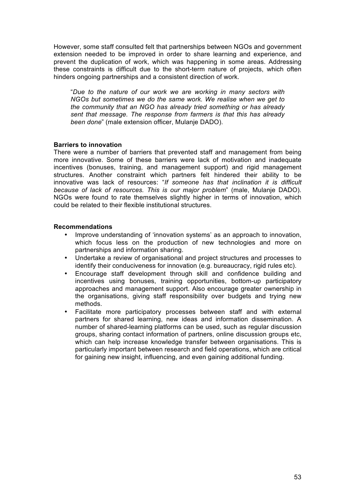However, some staff consulted felt that partnerships between NGOs and government extension needed to be improved in order to share learning and experience, and prevent the duplication of work, which was happening in some areas. Addressing these constraints is difficult due to the short-term nature of projects, which often hinders ongoing partnerships and a consistent direction of work.

"*Due to the nature of our work we are working in many sectors with NGOs but sometimes we do the same work. We realise when we get to the community that an NGO has already tried something or has already sent that message. The response from farmers is that this has already been done*" (male extension officer, Mulanje DADO).

#### **Barriers to innovation**

There were a number of barriers that prevented staff and management from being more innovative. Some of these barriers were lack of motivation and inadequate incentives (bonuses, training, and management support) and rigid management structures. Another constraint which partners felt hindered their ability to be innovative was lack of resources: "*If someone has that inclination it is difficult because of lack of resources. This is our major problem*" (male, Mulanje DADO). NGOs were found to rate themselves slightly higher in terms of innovation, which could be related to their flexible institutional structures.

#### **Recommendations**

- Improve understanding of 'innovation systems' as an approach to innovation, which focus less on the production of new technologies and more on partnerships and information sharing.
- Undertake a review of organisational and project structures and processes to identify their conduciveness for innovation (e.g. bureaucracy, rigid rules etc).
- Encourage staff development through skill and confidence building and incentives using bonuses, training opportunities, bottom-up participatory approaches and management support. Also encourage greater ownership in the organisations, giving staff responsibility over budgets and trying new methods.
- Facilitate more participatory processes between staff and with external partners for shared learning, new ideas and information dissemination. A number of shared-learning platforms can be used, such as regular discussion groups, sharing contact information of partners, online discussion groups etc, which can help increase knowledge transfer between organisations. This is particularly important between research and field operations, which are critical for gaining new insight, influencing, and even gaining additional funding.